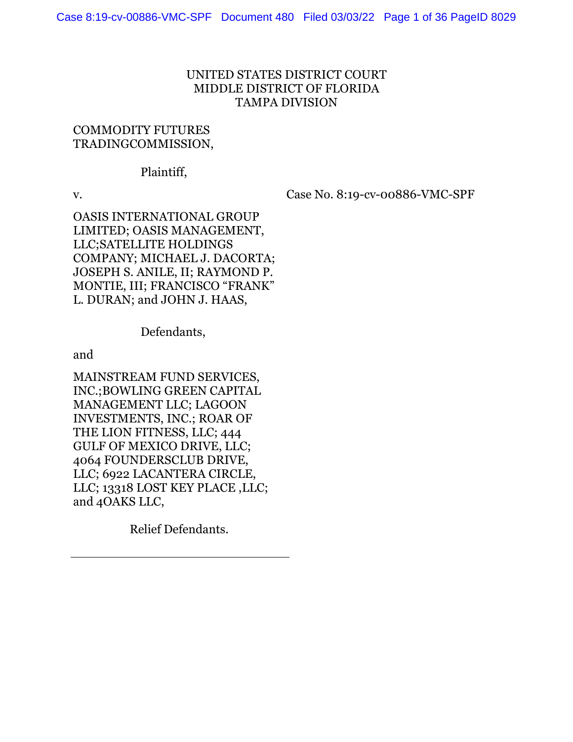## UNITED STATES DISTRICT COURT MIDDLE DISTRICT OF FLORIDA TAMPA DIVISION

## COMMODITY FUTURES TRADINGCOMMISSION,

#### Plaintiff,

v. Case No. 8:19-cv-00886-VMC-SPF

OASIS INTERNATIONAL GROUP LIMITED; OASIS MANAGEMENT, LLC;SATELLITE HOLDINGS COMPANY; MICHAEL J. DACORTA; JOSEPH S. ANILE, II; RAYMOND P. MONTIE, III; FRANCISCO "FRANK" L. DURAN; and JOHN J. HAAS,

Defendants,

and

MAINSTREAM FUND SERVICES, INC.;BOWLING GREEN CAPITAL MANAGEMENT LLC; LAGOON INVESTMENTS, INC.; ROAR OF THE LION FITNESS, LLC; 444 GULF OF MEXICO DRIVE, LLC; 4064 FOUNDERSCLUB DRIVE, LLC; 6922 LACANTERA CIRCLE, LLC; 13318 LOST KEY PLACE ,LLC; and 4OAKS LLC,

Relief Defendants.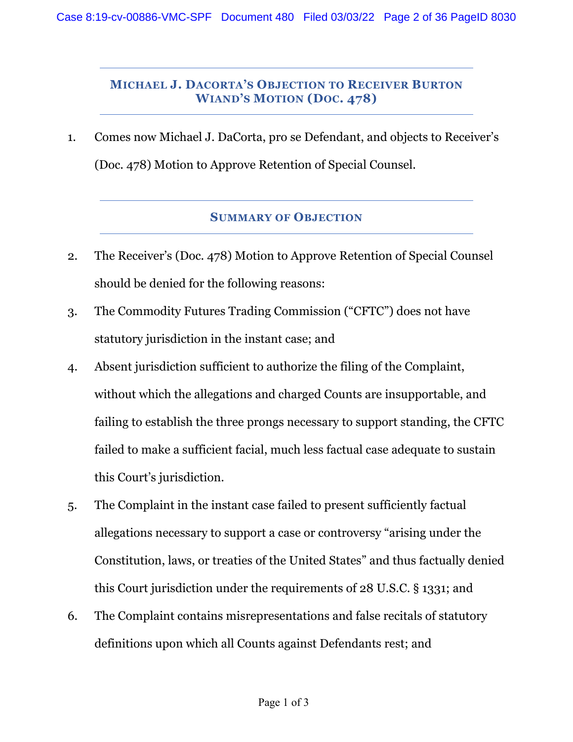## **MICHAEL J. DACORTA'S OBJECTION TO RECEIVER BURTON WIAND'S MOTION (DOC. 478)**

1. Comes now Michael J. DaCorta, pro se Defendant, and objects to Receiver's (Doc. 478) Motion to Approve Retention of Special Counsel.

#### **SUMMARY OF OBJECTION**

- 2. The Receiver's (Doc. 478) Motion to Approve Retention of Special Counsel should be denied for the following reasons:
- 3. The Commodity Futures Trading Commission ("CFTC") does not have statutory jurisdiction in the instant case; and
- 4. Absent jurisdiction sufficient to authorize the filing of the Complaint, without which the allegations and charged Counts are insupportable, and failing to establish the three prongs necessary to support standing, the CFTC failed to make a sufficient facial, much less factual case adequate to sustain this Court's jurisdiction.
- 5. The Complaint in the instant case failed to present sufficiently factual allegations necessary to support a case or controversy "arising under the Constitution, laws, or treaties of the United States" and thus factually denied this Court jurisdiction under the requirements of 28 U.S.C. § 1331; and
- 6. The Complaint contains misrepresentations and false recitals of statutory definitions upon which all Counts against Defendants rest; and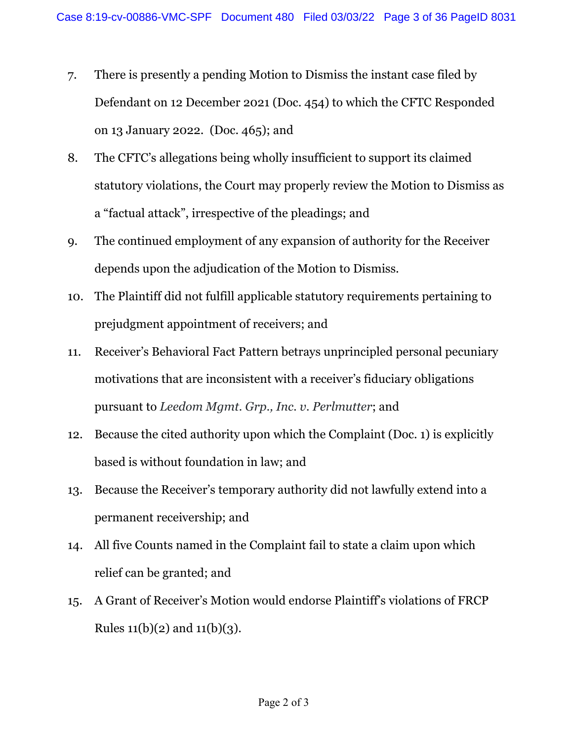- 7. There is presently a pending Motion to Dismiss the instant case filed by Defendant on 12 December 2021 (Doc. 454) to which the CFTC Responded on 13 January 2022. (Doc. 465); and
- 8. The CFTC's allegations being wholly insufficient to support its claimed statutory violations, the Court may properly review the Motion to Dismiss as a "factual attack", irrespective of the pleadings; and
- 9. The continued employment of any expansion of authority for the Receiver depends upon the adjudication of the Motion to Dismiss.
- 10. The Plaintiff did not fulfill applicable statutory requirements pertaining to prejudgment appointment of receivers; and
- 11. Receiver's Behavioral Fact Pattern betrays unprincipled personal pecuniary motivations that are inconsistent with a receiver's fiduciary obligations pursuant to *Leedom Mgmt. Grp., Inc. v. Perlmutter*; and
- 12. Because the cited authority upon which the Complaint (Doc. 1) is explicitly based is without foundation in law; and
- 13. Because the Receiver's temporary authority did not lawfully extend into a permanent receivership; and
- 14. All five Counts named in the Complaint fail to state a claim upon which relief can be granted; and
- 15. A Grant of Receiver's Motion would endorse Plaintiff's violations of FRCP Rules  $11(b)(2)$  and  $11(b)(3)$ .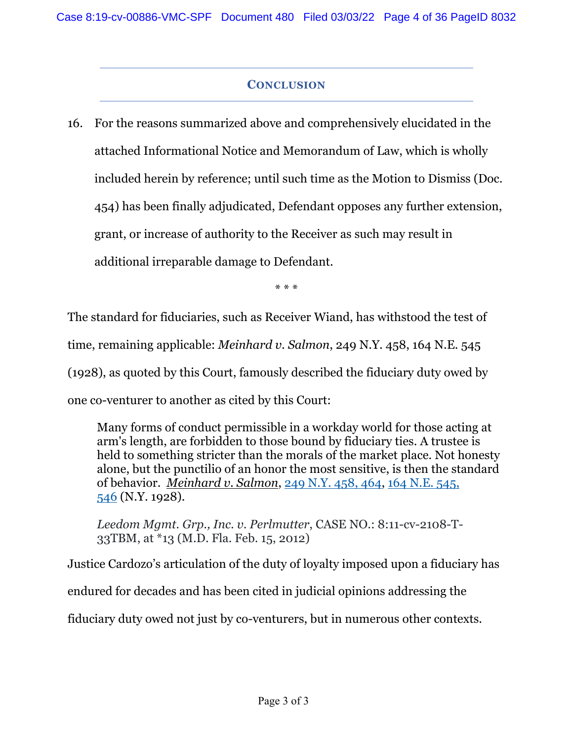# **CONCLUSION**

16. For the reasons summarized above and comprehensively elucidated in the attached Informational Notice and Memorandum of Law, which is wholly included herein by reference; until such time as the Motion to Dismiss (Doc. 454) has been finally adjudicated, Defendant opposes any further extension, grant, or increase of authority to the Receiver as such may result in additional irreparable damage to Defendant.

\* \* \*

The standard for fiduciaries, such as Receiver Wiand, has withstood the test of time, remaining applicable: *Meinhard v. Salmon*, 249 N.Y. 458, 164 N.E. 545 (1928), as quoted by this Court, famously described the fiduciary duty owed by one co-venturer to another as cited by this Court:

Many forms of conduct permissible in a workday world for those acting at arm's length, are forbidden to those bound by fiduciary ties. A trustee is held to something stricter than the morals of the market place. Not honesty alone, but the punctilio of an honor the most sensitive, is then the standard of behavior. *Meinhard v. Salmon*, 249 N.Y. 458, 464, 164 N.E. 545, 546 (N.Y. 1928).

*Leedom Mgmt. Grp., Inc. v. Perlmutter*, CASE NO.: 8:11-cv-2108-T-33TBM, at \*13 (M.D. Fla. Feb. 15, 2012)

Justice Cardozo's articulation of the duty of loyalty imposed upon a fiduciary has

endured for decades and has been cited in judicial opinions addressing the

fiduciary duty owed not just by co-venturers, but in numerous other contexts.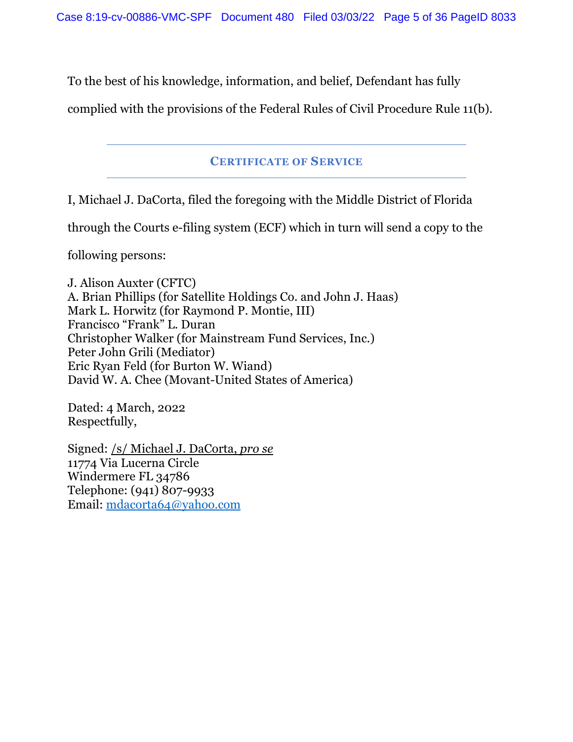To the best of his knowledge, information, and belief, Defendant has fully

complied with the provisions of the Federal Rules of Civil Procedure Rule 11(b).

## **CERTIFICATE OF SERVICE**

I, Michael J. DaCorta, filed the foregoing with the Middle District of Florida

through the Courts e-filing system (ECF) which in turn will send a copy to the

following persons:

J. Alison Auxter (CFTC) A. Brian Phillips (for Satellite Holdings Co. and John J. Haas) Mark L. Horwitz (for Raymond P. Montie, III) Francisco "Frank" L. Duran Christopher Walker (for Mainstream Fund Services, Inc.) Peter John Grili (Mediator) Eric Ryan Feld (for Burton W. Wiand) David W. A. Chee (Movant-United States of America)

Dated: 4 March, 2022 Respectfully,

Signed: /s/ Michael J. DaCorta, *pro se* 11774 Via Lucerna Circle Windermere FL 34786 Telephone: (941) 807-9933 Email: mdacorta64@yahoo.com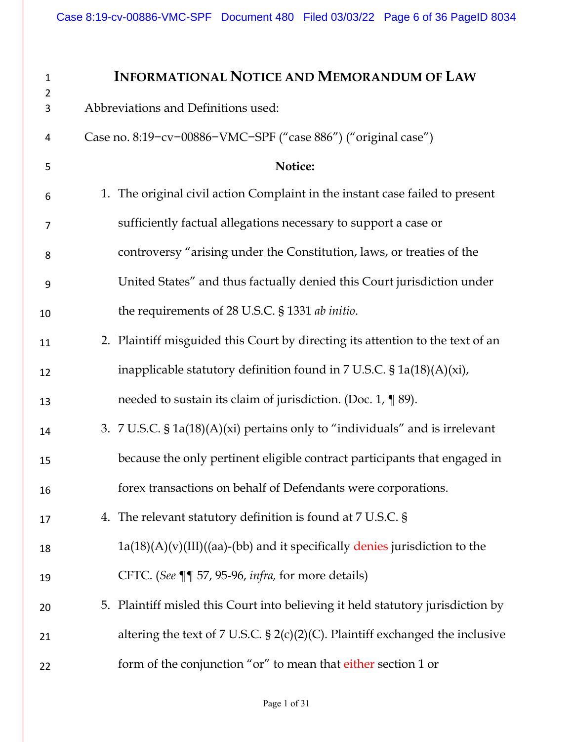| $\mathbf{1}$<br>$\overline{2}$ | <b>INFORMATIONAL NOTICE AND MEMORANDUM OF LAW</b>                                      |
|--------------------------------|----------------------------------------------------------------------------------------|
| 3                              | Abbreviations and Definitions used:                                                    |
| 4                              | Case no. 8:19-cv-00886-VMC-SPF ("case 886") ("original case")                          |
| 5                              | Notice:                                                                                |
| 6                              | 1. The original civil action Complaint in the instant case failed to present           |
| 7                              | sufficiently factual allegations necessary to support a case or                        |
| 8                              | controversy "arising under the Constitution, laws, or treaties of the                  |
| 9                              | United States" and thus factually denied this Court jurisdiction under                 |
| 10                             | the requirements of 28 U.S.C. § 1331 ab initio.                                        |
| 11                             | 2. Plaintiff misguided this Court by directing its attention to the text of an         |
| 12                             | inapplicable statutory definition found in 7 U.S.C. $\S$ 1a(18)(A)(xi),                |
| 13                             | needed to sustain its claim of jurisdiction. (Doc. 1, $\P$ 89).                        |
| 14                             | 3. $7 \text{ U.S.C. } $1a(18)(A)(xi)$ pertains only to "individuals" and is irrelevant |
| 15                             | because the only pertinent eligible contract participants that engaged in              |
| 16                             | forex transactions on behalf of Defendants were corporations.                          |
| 17                             | 4. The relevant statutory definition is found at 7 U.S.C. §                            |
| 18                             | $1a(18)(A)(v)(III)((aa)-(bb)$ and it specifically denies jurisdiction to the           |
| 19                             | CFTC. (See ¶¶ 57, 95-96, infra, for more details)                                      |
| 20                             | 5. Plaintiff misled this Court into believing it held statutory jurisdiction by        |
| 21                             | altering the text of 7 U.S.C. $\S 2(c)(2)(C)$ . Plaintiff exchanged the inclusive      |
| 22                             | form of the conjunction "or" to mean that either section 1 or                          |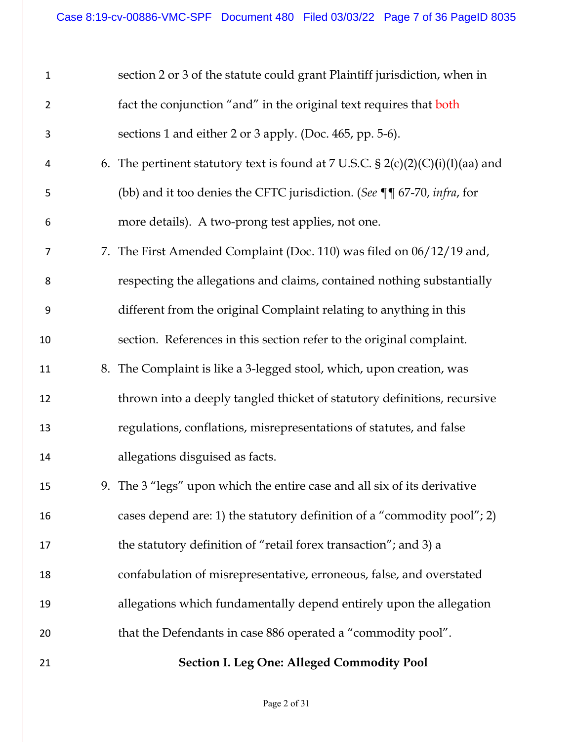| $\mathbf{1}$   | section 2 or 3 of the statute could grant Plaintiff jurisdiction, when in          |
|----------------|------------------------------------------------------------------------------------|
| $\overline{2}$ | fact the conjunction "and" in the original text requires that both                 |
| 3              | sections 1 and either 2 or 3 apply. (Doc. 465, pp. 5-6).                           |
| 4              | 6. The pertinent statutory text is found at 7 U.S.C. $\S 2(c)(2)(C)(i)(I)(aa)$ and |
| 5              | (bb) and it too denies the CFTC jurisdiction. (See ¶¶ 67-70, infra, for            |
| 6              | more details). A two-prong test applies, not one.                                  |
| 7              | 7. The First Amended Complaint (Doc. 110) was filed on 06/12/19 and,               |
| 8              | respecting the allegations and claims, contained nothing substantially             |
| 9              | different from the original Complaint relating to anything in this                 |
| 10             | section. References in this section refer to the original complaint.               |
| 11             | 8. The Complaint is like a 3-legged stool, which, upon creation, was               |
| 12             | thrown into a deeply tangled thicket of statutory definitions, recursive           |
| 13             | regulations, conflations, misrepresentations of statutes, and false                |
| 14             | allegations disguised as facts.                                                    |
| 15             | 9. The 3 "legs" upon which the entire case and all six of its derivative           |
| 16             | cases depend are: 1) the statutory definition of a "commodity pool"; 2)            |
| 17             | the statutory definition of "retail forex transaction"; and 3) a                   |
| 18             | confabulation of misrepresentative, erroneous, false, and overstated               |
| 19             | allegations which fundamentally depend entirely upon the allegation                |
| 20             | that the Defendants in case 886 operated a "commodity pool".                       |
| 21             | <b>Section I. Leg One: Alleged Commodity Pool</b>                                  |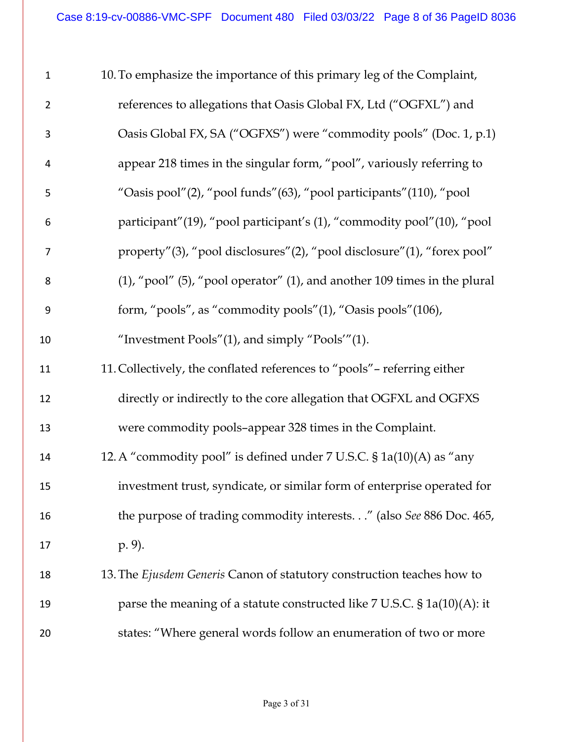| $\mathbf{1}$     | 10. To emphasize the importance of this primary leg of the Complaint,              |
|------------------|------------------------------------------------------------------------------------|
| $\overline{2}$   | references to allegations that Oasis Global FX, Ltd ("OGFXL") and                  |
| 3                | Oasis Global FX, SA ("OGFXS") were "commodity pools" (Doc. 1, p.1)                 |
| 4                | appear 218 times in the singular form, "pool", variously referring to              |
| 5                | "Oasis pool"(2), "pool funds"(63), "pool participants"(110), "pool                 |
| 6                | participant" (19), "pool participant's (1), "commodity pool" (10), "pool           |
| 7                | property"(3), "pool disclosures"(2), "pool disclosure"(1), "forex pool"            |
| 8                | $(1)$ , "pool" $(5)$ , "pool operator" $(1)$ , and another 109 times in the plural |
| $\boldsymbol{9}$ | form, "pools", as "commodity pools"(1), "Oasis pools"(106),                        |
| 10               | "Investment Pools" $(1)$ , and simply "Pools" $(1)$ .                              |
| 11               | 11. Collectively, the conflated references to "pools" - referring either           |
| 12               | directly or indirectly to the core allegation that OGFXL and OGFXS                 |
| 13               | were commodity pools-appear 328 times in the Complaint.                            |
| 14               | 12. A "commodity pool" is defined under 7 U.S.C. § 1a(10)(A) as "any               |
| 15               | investment trust, syndicate, or similar form of enterprise operated for            |
| 16               | the purpose of trading commodity interests." (also See 886 Doc. 465,               |
| 17               | p. 9).                                                                             |
| 18               | 13. The Ejusdem Generis Canon of statutory construction teaches how to             |
| 19               | parse the meaning of a statute constructed like $7$ U.S.C. $$1a(10)(A):$ it        |
| 20               | states: "Where general words follow an enumeration of two or more                  |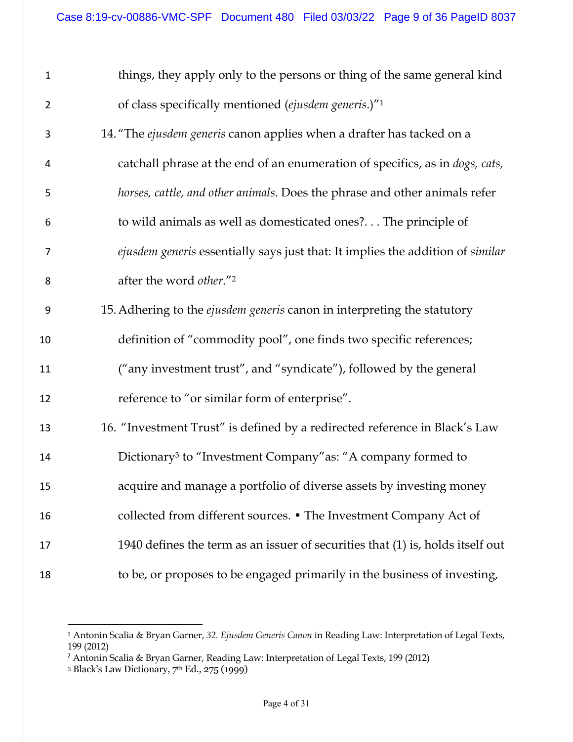| $\mathbf 1$    | things, they apply only to the persons or thing of the same general kind       |
|----------------|--------------------------------------------------------------------------------|
| $\overline{2}$ | of class specifically mentioned (ejusdem generis.)" <sup>1</sup>               |
| 3              | 14. "The ejusdem generis canon applies when a drafter has tacked on a          |
| 4              | catchall phrase at the end of an enumeration of specifics, as in dogs, cats,   |
| 5              | horses, cattle, and other animals. Does the phrase and other animals refer     |
| 6              | to wild animals as well as domesticated ones? The principle of                 |
| 7              | ejusdem generis essentially says just that: It implies the addition of similar |
| 8              | after the word other."2                                                        |
| 9              | 15. Adhering to the ejusdem generis canon in interpreting the statutory        |
| 10             | definition of "commodity pool", one finds two specific references;             |
| 11             | ("any investment trust", and "syndicate"), followed by the general             |
| 12             | reference to "or similar form of enterprise".                                  |
| 13             | 16. "Investment Trust" is defined by a redirected reference in Black's Law     |
| 14             | Dictionary <sup>3</sup> to "Investment Company" as: "A company formed to       |
| 15             | acquire and manage a portfolio of diverse assets by investing money            |
| 16             | collected from different sources. • The Investment Company Act of              |
| 17             | 1940 defines the term as an issuer of securities that (1) is, holds itself out |
| 18             | to be, or proposes to be engaged primarily in the business of investing,       |

<u>.</u>

 Antonin Scalia & Bryan Garner, *32. Ejusdem Generis Canon* in Reading Law: Interpretation of Legal Texts, 199 (2012)

<sup>&</sup>lt;sup>2</sup> Antonin Scalia & Bryan Garner, Reading Law: Interpretation of Legal Texts, 199 (2012)

Black's Law Dictionary, 7th Ed., 275 (1999)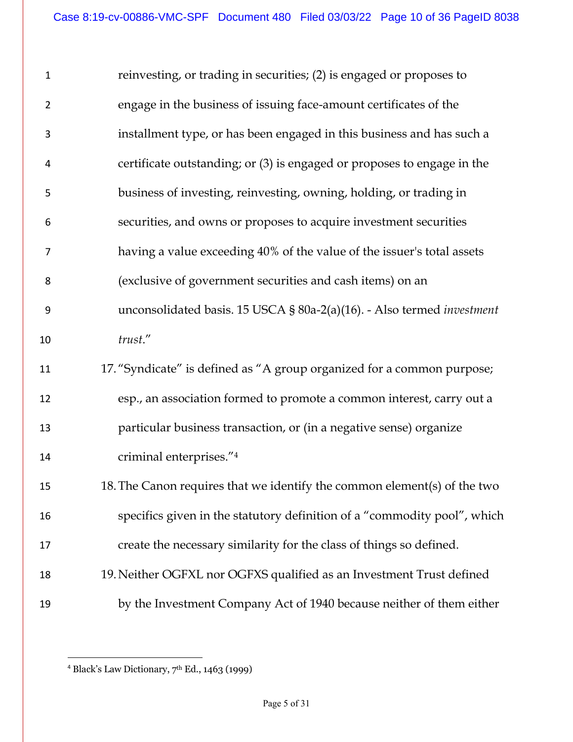| $\mathbf{1}$     | reinvesting, or trading in securities; (2) is engaged or proposes to          |
|------------------|-------------------------------------------------------------------------------|
| $\overline{2}$   | engage in the business of issuing face-amount certificates of the             |
| 3                | installment type, or has been engaged in this business and has such a         |
| 4                | certificate outstanding; or (3) is engaged or proposes to engage in the       |
| 5                | business of investing, reinvesting, owning, holding, or trading in            |
| 6                | securities, and owns or proposes to acquire investment securities             |
| $\overline{7}$   | having a value exceeding 40% of the value of the issuer's total assets        |
| 8                | (exclusive of government securities and cash items) on an                     |
| $\boldsymbol{9}$ | unconsolidated basis. 15 USCA § 80a-2(a)(16). - Also termed <i>investment</i> |
| 10               | trust."                                                                       |
| 11               | 17. "Syndicate" is defined as "A group organized for a common purpose;        |
| 12               | esp., an association formed to promote a common interest, carry out a         |
| 13               | particular business transaction, or (in a negative sense) organize            |
| 14               | criminal enterprises."4                                                       |
| 15               | 18. The Canon requires that we identify the common element(s) of the two      |
| 16               | specifics given in the statutory definition of a "commodity pool", which      |
| 17               | create the necessary similarity for the class of things so defined.           |
| 18               | 19. Neither OGFXL nor OGFXS qualified as an Investment Trust defined          |
| 19               | by the Investment Company Act of 1940 because neither of them either          |

Black's Law Dictionary, 7th Ed., 1463 (1999)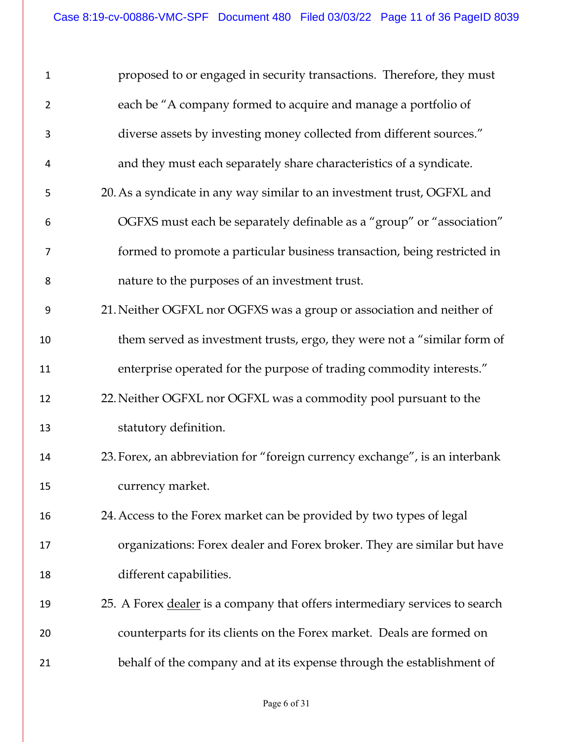| $\mathbf 1$    | proposed to or engaged in security transactions. Therefore, they must       |
|----------------|-----------------------------------------------------------------------------|
| $\overline{2}$ | each be "A company formed to acquire and manage a portfolio of              |
| 3              | diverse assets by investing money collected from different sources."        |
| 4              | and they must each separately share characteristics of a syndicate.         |
| 5              | 20. As a syndicate in any way similar to an investment trust, OGFXL and     |
| 6              | OGFXS must each be separately definable as a "group" or "association"       |
| 7              | formed to promote a particular business transaction, being restricted in    |
| 8              | nature to the purposes of an investment trust.                              |
| 9              | 21. Neither OGFXL nor OGFXS was a group or association and neither of       |
| 10             | them served as investment trusts, ergo, they were not a "similar form of    |
| 11             | enterprise operated for the purpose of trading commodity interests."        |
| 12             | 22. Neither OGFXL nor OGFXL was a commodity pool pursuant to the            |
| 13             | statutory definition.                                                       |
| 14             | 23. Forex, an abbreviation for "foreign currency exchange", is an interbank |
| 15             | currency market.                                                            |
| 16             | 24. Access to the Forex market can be provided by two types of legal        |
| 17             | organizations: Forex dealer and Forex broker. They are similar but have     |
| 18             | different capabilities.                                                     |
| 19             | 25. A Forex dealer is a company that offers intermediary services to search |
| 20             | counterparts for its clients on the Forex market. Deals are formed on       |
| 21             | behalf of the company and at its expense through the establishment of       |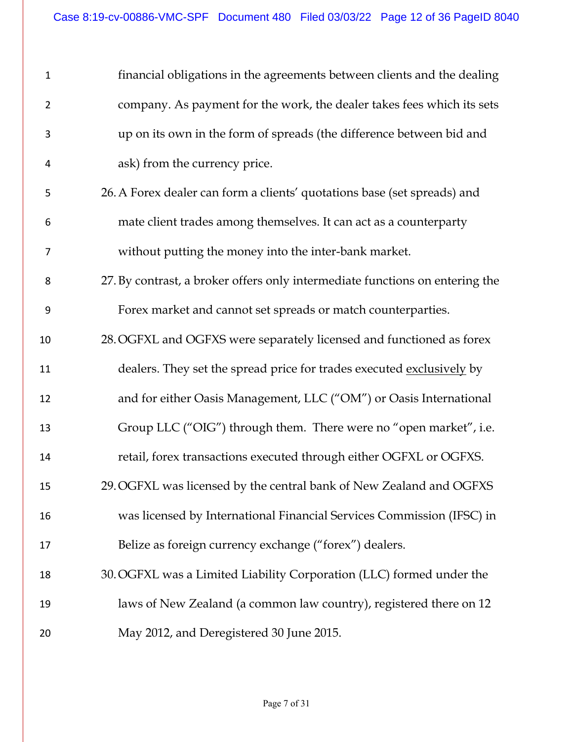| $\mathbf{1}$   | financial obligations in the agreements between clients and the dealing      |
|----------------|------------------------------------------------------------------------------|
| $\overline{2}$ | company. As payment for the work, the dealer takes fees which its sets       |
| 3              | up on its own in the form of spreads (the difference between bid and         |
| 4              | ask) from the currency price.                                                |
| 5              | 26. A Forex dealer can form a clients' quotations base (set spreads) and     |
| 6              | mate client trades among themselves. It can act as a counterparty            |
| 7              | without putting the money into the inter-bank market.                        |
| 8              | 27. By contrast, a broker offers only intermediate functions on entering the |
| 9              | Forex market and cannot set spreads or match counterparties.                 |
| 10             | 28. OGFXL and OGFXS were separately licensed and functioned as forex         |
| 11             | dealers. They set the spread price for trades executed exclusively by        |
| 12             | and for either Oasis Management, LLC ("OM") or Oasis International           |
| 13             | Group LLC ("OIG") through them. There were no "open market", i.e.            |
| 14             | retail, forex transactions executed through either OGFXL or OGFXS.           |
| 15             | 29. OGFXL was licensed by the central bank of New Zealand and OGFXS          |
| 16             | was licensed by International Financial Services Commission (IFSC) in        |
| 17             | Belize as foreign currency exchange ("forex") dealers.                       |
| 18             | 30. OGFXL was a Limited Liability Corporation (LLC) formed under the         |
| 19             | laws of New Zealand (a common law country), registered there on 12           |
| 20             | May 2012, and Deregistered 30 June 2015.                                     |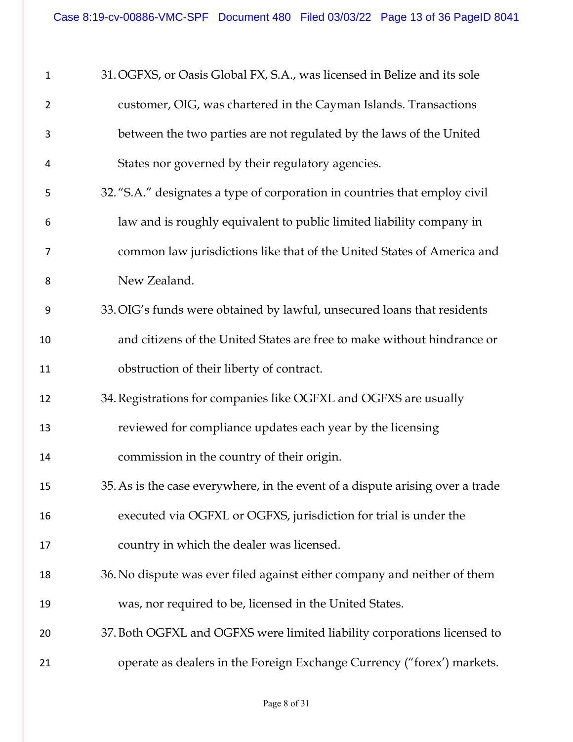| $\mathbf{1}$   | 31. OGFXS, or Oasis Global FX, S.A., was licensed in Belize and its sole      |
|----------------|-------------------------------------------------------------------------------|
| $\overline{2}$ | customer, OIG, was chartered in the Cayman Islands. Transactions              |
| 3              | between the two parties are not regulated by the laws of the United           |
| 4              | States nor governed by their regulatory agencies.                             |
| 5              | 32. "S.A." designates a type of corporation in countries that employ civil    |
| 6              | law and is roughly equivalent to public limited liability company in          |
| 7              | common law jurisdictions like that of the United States of America and        |
| 8              | New Zealand.                                                                  |
| 9              | 33. OIG's funds were obtained by lawful, unsecured loans that residents       |
| 10             | and citizens of the United States are free to make without hindrance or       |
| 11             | obstruction of their liberty of contract.                                     |
| 12             | 34. Registrations for companies like OGFXL and OGFXS are usually              |
| 13             | reviewed for compliance updates each year by the licensing                    |
| 14             | commission in the country of their origin.                                    |
| 15             | 35. As is the case everywhere, in the event of a dispute arising over a trade |
| 16             | executed via OGFXL or OGFXS, jurisdiction for trial is under the              |
| 17             | country in which the dealer was licensed.                                     |
| 18             | 36. No dispute was ever filed against either company and neither of them      |
| 19             | was, nor required to be, licensed in the United States.                       |
| 20             | 37. Both OGFXL and OGFXS were limited liability corporations licensed to      |
| 21             | operate as dealers in the Foreign Exchange Currency ("forex') markets.        |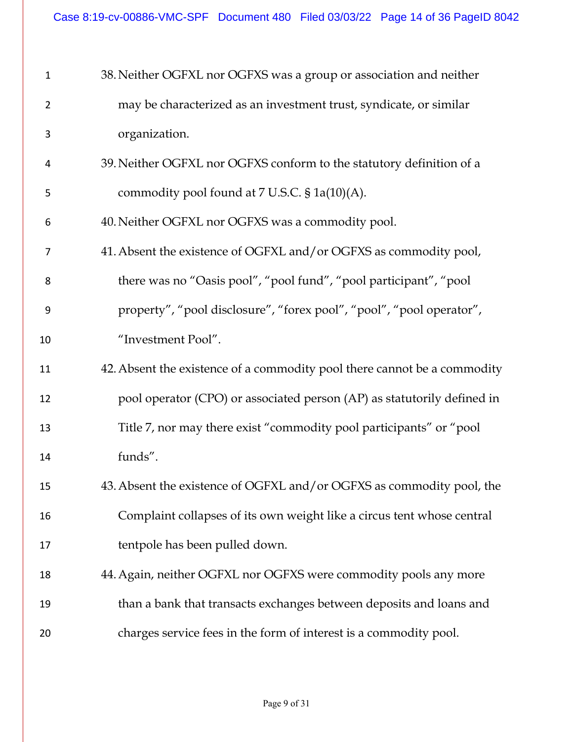| $\mathbf{1}$   | 38. Neither OGFXL nor OGFXS was a group or association and neither       |
|----------------|--------------------------------------------------------------------------|
| $\overline{2}$ | may be characterized as an investment trust, syndicate, or similar       |
| 3              | organization.                                                            |
| 4              | 39. Neither OGFXL nor OGFXS conform to the statutory definition of a     |
| 5              | commodity pool found at 7 U.S.C. § 1a(10)(A).                            |
| 6              | 40. Neither OGFXL nor OGFXS was a commodity pool.                        |
| $\overline{7}$ | 41. Absent the existence of OGFXL and/or OGFXS as commodity pool,        |
| 8              | there was no "Oasis pool", "pool fund", "pool participant", "pool        |
| 9              | property", "pool disclosure", "forex pool", "pool", "pool operator",     |
| 10             | "Investment Pool".                                                       |
| 11             | 42. Absent the existence of a commodity pool there cannot be a commodity |
| 12             | pool operator (CPO) or associated person (AP) as statutorily defined in  |
| 13             | Title 7, nor may there exist "commodity pool participants" or "pool      |
| 14             | funds".                                                                  |
| 15             | 43. Absent the existence of OGFXL and/or OGFXS as commodity pool, the    |
| 16             | Complaint collapses of its own weight like a circus tent whose central   |
| 17             | tentpole has been pulled down.                                           |
| 18             | 44. Again, neither OGFXL nor OGFXS were commodity pools any more         |
| 19             | than a bank that transacts exchanges between deposits and loans and      |
| 20             | charges service fees in the form of interest is a commodity pool.        |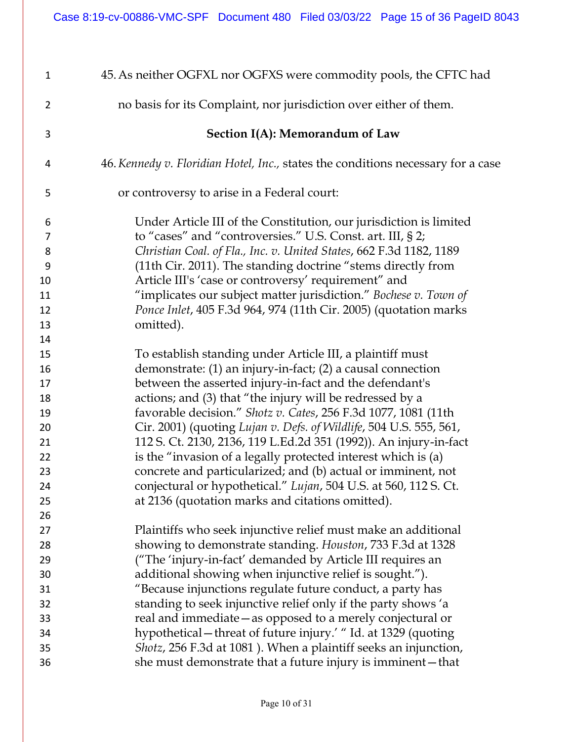| $\mathbf{1}$   | 45. As neither OGFXL nor OGFXS were commodity pools, the CFTC had                |
|----------------|----------------------------------------------------------------------------------|
| $\overline{2}$ | no basis for its Complaint, nor jurisdiction over either of them.                |
| 3              | Section I(A): Memorandum of Law                                                  |
| 4              | 46. Kennedy v. Floridian Hotel, Inc., states the conditions necessary for a case |
| 5              | or controversy to arise in a Federal court:                                      |
| 6              | Under Article III of the Constitution, our jurisdiction is limited               |
| 7              | to "cases" and "controversies." U.S. Const. art. III, § 2;                       |
| 8              | Christian Coal. of Fla., Inc. v. United States, 662 F.3d 1182, 1189              |
| 9              | (11th Cir. 2011). The standing doctrine "stems directly from                     |
| 10             | Article III's 'case or controversy' requirement" and                             |
| 11             | "implicates our subject matter jurisdiction." Bochese v. Town of                 |
| 12             | <i>Ponce Inlet, 405 F.3d 964, 974 (11th Cir. 2005) (quotation marks</i>          |
| 13             | omitted).                                                                        |
| 14             |                                                                                  |
| 15             | To establish standing under Article III, a plaintiff must                        |
| 16             | demonstrate: (1) an injury-in-fact; (2) a causal connection                      |
| 17             | between the asserted injury-in-fact and the defendant's                          |
| 18             | actions; and (3) that "the injury will be redressed by a                         |
| 19             | favorable decision." Shotz v. Cates, 256 F.3d 1077, 1081 (11th                   |
| 20             | Cir. 2001) (quoting Lujan v. Defs. of Wildlife, 504 U.S. 555, 561,               |
| 21             | 112 S. Ct. 2130, 2136, 119 L.Ed.2d 351 (1992)). An injury-in-fact                |
| 22             | is the "invasion of a legally protected interest which is (a)                    |
| 23             | concrete and particularized; and (b) actual or imminent, not                     |
| 24             | conjectural or hypothetical." Lujan, 504 U.S. at 560, 112 S. Ct.                 |
| 25             | at 2136 (quotation marks and citations omitted).                                 |
| 26             |                                                                                  |
| 27             | Plaintiffs who seek injunctive relief must make an additional                    |
| 28             | showing to demonstrate standing. Houston, 733 F.3d at 1328                       |
| 29             | ("The 'injury-in-fact' demanded by Article III requires an                       |
| 30             | additional showing when injunctive relief is sought.").                          |
| 31             | "Because injunctions regulate future conduct, a party has                        |
| 32             | standing to seek injunctive relief only if the party shows 'a                    |
| 33             | real and immediate - as opposed to a merely conjectural or                       |
| 34             | hypothetical – threat of future injury.' "Id. at 1329 (quoting                   |
| 35             | Shotz, 256 F.3d at 1081). When a plaintiff seeks an injunction,                  |
| 36             | she must demonstrate that a future injury is imminent - that                     |
|                |                                                                                  |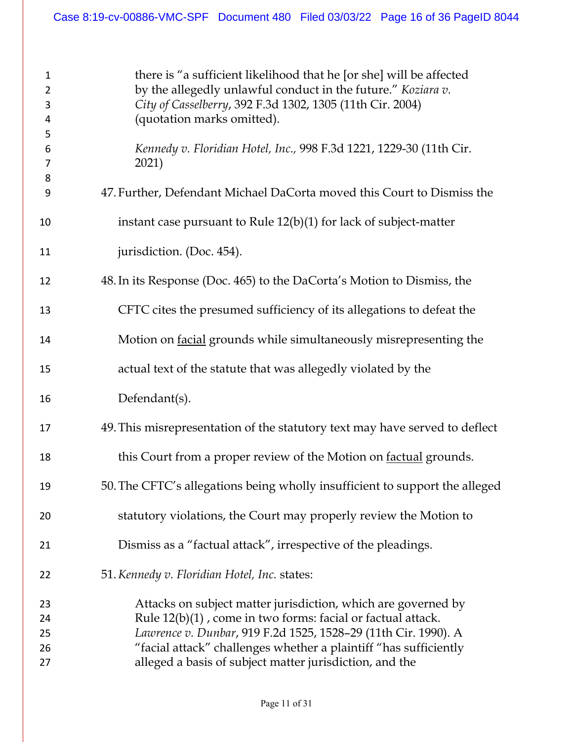| $\mathbf{1}$<br>$\overline{2}$<br>3<br>4<br>5<br>6<br>7<br>8<br>9 | there is "a sufficient likelihood that he [or she] will be affected<br>by the allegedly unlawful conduct in the future." Koziara v.<br>City of Casselberry, 392 F.3d 1302, 1305 (11th Cir. 2004)<br>(quotation marks omitted).<br>Kennedy v. Floridian Hotel, Inc., 998 F.3d 1221, 1229-30 (11th Cir.<br>2021)<br>47. Further, Defendant Michael DaCorta moved this Court to Dismiss the |
|-------------------------------------------------------------------|------------------------------------------------------------------------------------------------------------------------------------------------------------------------------------------------------------------------------------------------------------------------------------------------------------------------------------------------------------------------------------------|
| 10                                                                | instant case pursuant to Rule $12(b)(1)$ for lack of subject-matter                                                                                                                                                                                                                                                                                                                      |
| 11                                                                | jurisdiction. (Doc. 454).                                                                                                                                                                                                                                                                                                                                                                |
| 12                                                                | 48. In its Response (Doc. 465) to the DaCorta's Motion to Dismiss, the                                                                                                                                                                                                                                                                                                                   |
| 13                                                                | CFTC cites the presumed sufficiency of its allegations to defeat the                                                                                                                                                                                                                                                                                                                     |
| 14                                                                | Motion on facial grounds while simultaneously misrepresenting the                                                                                                                                                                                                                                                                                                                        |
| 15                                                                | actual text of the statute that was allegedly violated by the                                                                                                                                                                                                                                                                                                                            |
| 16                                                                | Defendant(s).                                                                                                                                                                                                                                                                                                                                                                            |
| 17                                                                | 49. This misrepresentation of the statutory text may have served to deflect                                                                                                                                                                                                                                                                                                              |
| 18                                                                | this Court from a proper review of the Motion on <b>factual</b> grounds.                                                                                                                                                                                                                                                                                                                 |
| 19                                                                | 50. The CFTC's allegations being wholly insufficient to support the alleged                                                                                                                                                                                                                                                                                                              |
| 20                                                                | statutory violations, the Court may properly review the Motion to                                                                                                                                                                                                                                                                                                                        |
| 21                                                                | Dismiss as a "factual attack", irrespective of the pleadings.                                                                                                                                                                                                                                                                                                                            |
| 22                                                                | 51. Kennedy v. Floridian Hotel, Inc. states:                                                                                                                                                                                                                                                                                                                                             |
| 23<br>24<br>25<br>26<br>27                                        | Attacks on subject matter jurisdiction, which are governed by<br>Rule 12(b)(1), come in two forms: facial or factual attack.<br>Lawrence v. Dunbar, 919 F.2d 1525, 1528-29 (11th Cir. 1990). A<br>"facial attack" challenges whether a plaintiff "has sufficiently<br>alleged a basis of subject matter jurisdiction, and the                                                            |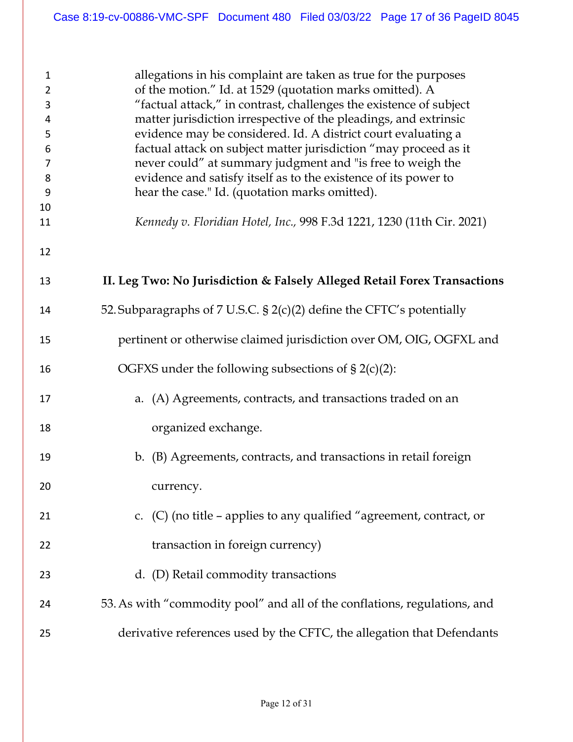| $\mathbf{1}$<br>$\overline{2}$<br>3<br>$\overline{4}$<br>5<br>6<br>7<br>8<br>9<br>10<br>11 | allegations in his complaint are taken as true for the purposes<br>of the motion." Id. at 1529 (quotation marks omitted). A<br>"factual attack," in contrast, challenges the existence of subject<br>matter jurisdiction irrespective of the pleadings, and extrinsic<br>evidence may be considered. Id. A district court evaluating a<br>factual attack on subject matter jurisdiction "may proceed as it<br>never could" at summary judgment and "is free to weigh the<br>evidence and satisfy itself as to the existence of its power to<br>hear the case." Id. (quotation marks omitted).<br>Kennedy v. Floridian Hotel, Inc., 998 F.3d 1221, 1230 (11th Cir. 2021) |
|--------------------------------------------------------------------------------------------|-------------------------------------------------------------------------------------------------------------------------------------------------------------------------------------------------------------------------------------------------------------------------------------------------------------------------------------------------------------------------------------------------------------------------------------------------------------------------------------------------------------------------------------------------------------------------------------------------------------------------------------------------------------------------|
| 12                                                                                         |                                                                                                                                                                                                                                                                                                                                                                                                                                                                                                                                                                                                                                                                         |
| 13                                                                                         | II. Leg Two: No Jurisdiction & Falsely Alleged Retail Forex Transactions                                                                                                                                                                                                                                                                                                                                                                                                                                                                                                                                                                                                |
| 14                                                                                         | 52. Subparagraphs of 7 U.S.C. $\S$ 2(c)(2) define the CFTC's potentially                                                                                                                                                                                                                                                                                                                                                                                                                                                                                                                                                                                                |
| 15                                                                                         | pertinent or otherwise claimed jurisdiction over OM, OIG, OGFXL and                                                                                                                                                                                                                                                                                                                                                                                                                                                                                                                                                                                                     |
| 16                                                                                         | OGFXS under the following subsections of $\S 2(c)(2)$ :                                                                                                                                                                                                                                                                                                                                                                                                                                                                                                                                                                                                                 |
| 17                                                                                         | a. (A) Agreements, contracts, and transactions traded on an                                                                                                                                                                                                                                                                                                                                                                                                                                                                                                                                                                                                             |
| 18                                                                                         | organized exchange.                                                                                                                                                                                                                                                                                                                                                                                                                                                                                                                                                                                                                                                     |
| 19                                                                                         | (B) Agreements, contracts, and transactions in retail foreign<br>$\mathbf{b}$ .                                                                                                                                                                                                                                                                                                                                                                                                                                                                                                                                                                                         |
| 20                                                                                         | currency.                                                                                                                                                                                                                                                                                                                                                                                                                                                                                                                                                                                                                                                               |
| 21                                                                                         | c. $(C)$ (no title – applies to any qualified "agreement, contract, or                                                                                                                                                                                                                                                                                                                                                                                                                                                                                                                                                                                                  |
| 22                                                                                         | transaction in foreign currency)                                                                                                                                                                                                                                                                                                                                                                                                                                                                                                                                                                                                                                        |
| 23                                                                                         | d. (D) Retail commodity transactions                                                                                                                                                                                                                                                                                                                                                                                                                                                                                                                                                                                                                                    |
| 24                                                                                         | 53. As with "commodity pool" and all of the conflations, regulations, and                                                                                                                                                                                                                                                                                                                                                                                                                                                                                                                                                                                               |
| 25                                                                                         | derivative references used by the CFTC, the allegation that Defendants                                                                                                                                                                                                                                                                                                                                                                                                                                                                                                                                                                                                  |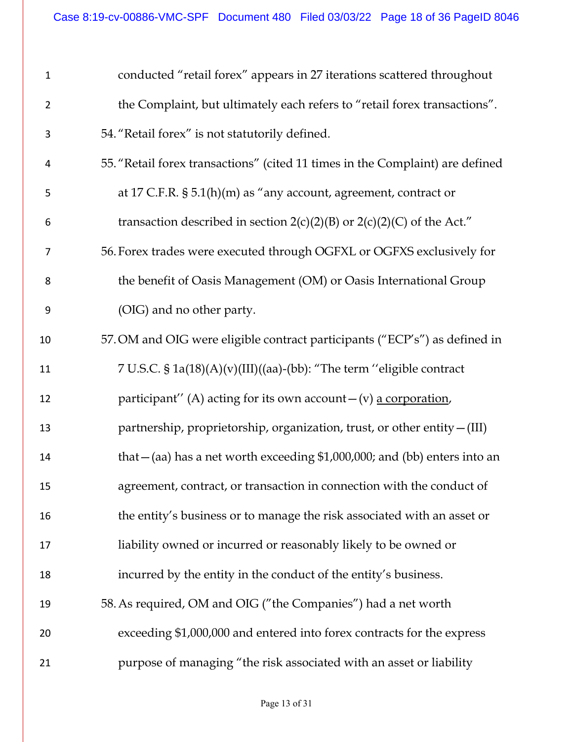| $\mathbf{1}$   | conducted "retail forex" appears in 27 iterations scattered throughout        |
|----------------|-------------------------------------------------------------------------------|
| $\overline{2}$ | the Complaint, but ultimately each refers to "retail forex transactions".     |
| 3              | 54. "Retail forex" is not statutorily defined.                                |
| 4              | 55. "Retail forex transactions" (cited 11 times in the Complaint) are defined |
| 5              | at 17 C.F.R. $\S$ 5.1(h)(m) as "any account, agreement, contract or           |
| 6              | transaction described in section $2(c)(2)(B)$ or $2(c)(2)(C)$ of the Act."    |
| 7              | 56. Forex trades were executed through OGFXL or OGFXS exclusively for         |
| 8              | the benefit of Oasis Management (OM) or Oasis International Group             |
| 9              | (OIG) and no other party.                                                     |
| 10             | 57. OM and OIG were eligible contract participants ("ECP's") as defined in    |
| 11             | 7 U.S.C. § 1a(18)(A)(v)(III)((aa)-(bb): "The term "eligible contract"         |
| 12             | participant" (A) acting for its own account $-(v)$ a corporation,             |
| 13             | partnership, proprietorship, organization, trust, or other entity - (III)     |
| 14             | that $-(aa)$ has a net worth exceeding \$1,000,000; and (bb) enters into an   |
| 15             | agreement, contract, or transaction in connection with the conduct of         |
| 16             | the entity's business or to manage the risk associated with an asset or       |
| 17             | liability owned or incurred or reasonably likely to be owned or               |
| 18             | incurred by the entity in the conduct of the entity's business.               |
| 19             | 58. As required, OM and OIG ("the Companies") had a net worth                 |
| 20             | exceeding \$1,000,000 and entered into forex contracts for the express        |
| 21             | purpose of managing "the risk associated with an asset or liability           |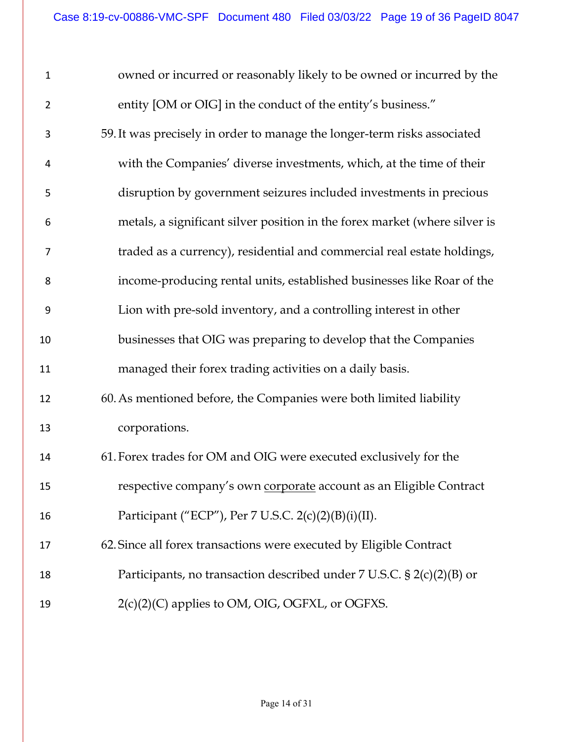| $\mathbf 1$    | owned or incurred or reasonably likely to be owned or incurred by the      |
|----------------|----------------------------------------------------------------------------|
| $\overline{2}$ | entity [OM or OIG] in the conduct of the entity's business."               |
| 3              | 59. It was precisely in order to manage the longer-term risks associated   |
| 4              | with the Companies' diverse investments, which, at the time of their       |
| 5              | disruption by government seizures included investments in precious         |
| 6              | metals, a significant silver position in the forex market (where silver is |
| 7              | traded as a currency), residential and commercial real estate holdings,    |
| 8              | income-producing rental units, established businesses like Roar of the     |
| 9              | Lion with pre-sold inventory, and a controlling interest in other          |
| 10             | businesses that OIG was preparing to develop that the Companies            |
| 11             | managed their forex trading activities on a daily basis.                   |
| 12             | 60. As mentioned before, the Companies were both limited liability         |
| 13             | corporations.                                                              |
| 14             | 61. Forex trades for OM and OIG were executed exclusively for the          |
| 15             | respective company's own corporate account as an Eligible Contract         |
| 16             | Participant ("ECP"), Per 7 U.S.C. 2(c)(2)(B)(i)(II).                       |
| 17             | 62. Since all forex transactions were executed by Eligible Contract        |
| 18             | Participants, no transaction described under 7 U.S.C. $\S 2(c)(2)(B)$ or   |
| 19             | 2(c)(2)(C) applies to OM, OIG, OGFXL, or OGFXS.                            |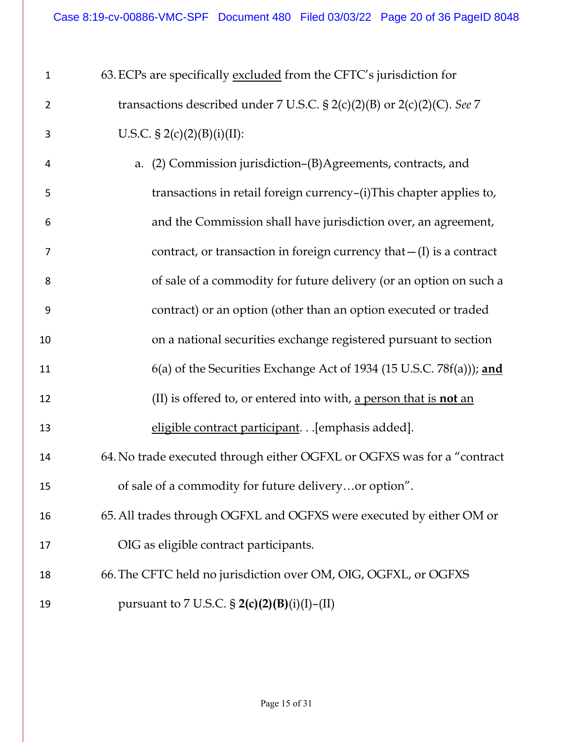| $\mathbf{1}$   | 63. ECPs are specifically excluded from the CFTC's jurisdiction for        |
|----------------|----------------------------------------------------------------------------|
| $\overline{2}$ | transactions described under 7 U.S.C. § 2(c)(2)(B) or 2(c)(2)(C). See 7    |
| 3              | U.S.C. § 2(c)(2)(B)(i)(II):                                                |
| 4              | a. (2) Commission jurisdiction-(B)Agreements, contracts, and               |
| 5              | transactions in retail foreign currency-(i)This chapter applies to,        |
| 6              | and the Commission shall have jurisdiction over, an agreement,             |
| $\overline{7}$ | contract, or transaction in foreign currency that $-(I)$ is a contract     |
| 8              | of sale of a commodity for future delivery (or an option on such a         |
| 9              | contract) or an option (other than an option executed or traded            |
| 10             | on a national securities exchange registered pursuant to section           |
| 11             | $6(a)$ of the Securities Exchange Act of 1934 (15 U.S.C. 78 $f(a)$ )); and |
| 12             | (II) is offered to, or entered into with, a person that is <b>not</b> an   |
| 13             | eligible contract participant. [emphasis added].                           |
| 14             | 64. No trade executed through either OGFXL or OGFXS was for a "contract    |
| 15             | of sale of a commodity for future deliveryor option".                      |
| 16             | 65. All trades through OGFXL and OGFXS were executed by either OM or       |
| 17             | OIG as eligible contract participants.                                     |
| 18             | 66. The CFTC held no jurisdiction over OM, OIG, OGFXL, or OGFXS            |
| 19             | pursuant to 7 U.S.C. § $2(c)(2)(B)(i)(I) - (II)$                           |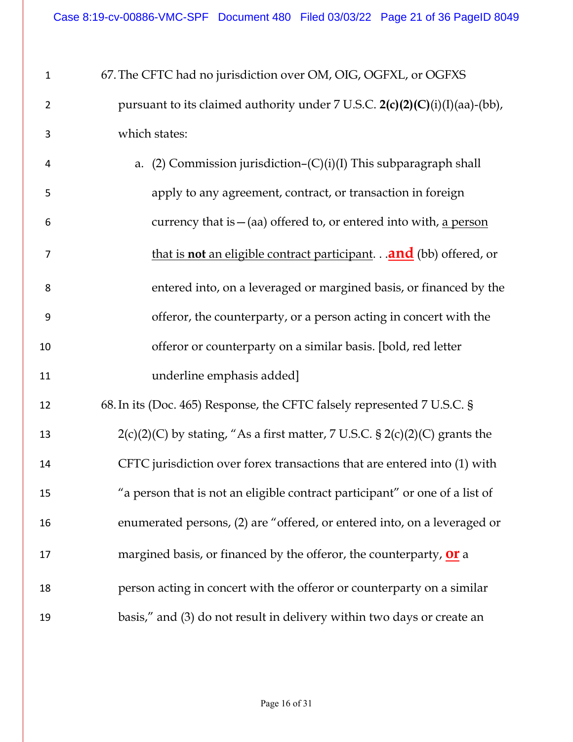| $\mathbf{1}$   | 67. The CFTC had no jurisdiction over OM, OIG, OGFXL, or OGFXS                   |
|----------------|----------------------------------------------------------------------------------|
| $\overline{2}$ | pursuant to its claimed authority under 7 U.S.C. $2(c)(2)(C)(i)(I)(aa)-(bb)$ ,   |
| 3              | which states:                                                                    |
| 4              | a. (2) Commission jurisdiction– $(C)(i)(I)$ This subparagraph shall              |
| 5              | apply to any agreement, contract, or transaction in foreign                      |
| 6              | currency that is $-$ (aa) offered to, or entered into with, a person             |
| 7              | that is <b>not</b> an eligible contract participant. <b>and</b> (bb) offered, or |
| 8              | entered into, on a leveraged or margined basis, or financed by the               |
| 9              | offeror, the counterparty, or a person acting in concert with the                |
| 10             | offeror or counterparty on a similar basis. [bold, red letter                    |
| 11             | underline emphasis added]                                                        |
| 12             | 68. In its (Doc. 465) Response, the CFTC falsely represented 7 U.S.C. §          |
| 13             | $2(c)(2)(C)$ by stating, "As a first matter, 7 U.S.C. § 2(c)(2)(C) grants the    |
| 14             | CFTC jurisdiction over forex transactions that are entered into (1) with         |
| 15             | "a person that is not an eligible contract participant" or one of a list of      |
| 16             | enumerated persons, (2) are "offered, or entered into, on a leveraged or         |
| 17             | margined basis, or financed by the offeror, the counterparty, <b>Or</b> a        |
| 18             | person acting in concert with the offeror or counterparty on a similar           |
| 19             | basis," and (3) do not result in delivery within two days or create an           |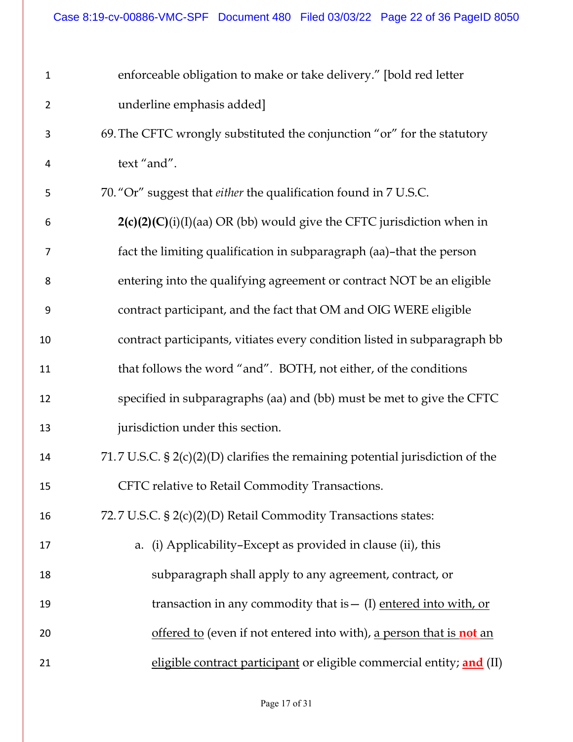| underline emphasis added]<br>$\overline{2}$<br>69. The CFTC wrongly substituted the conjunction "or" for the statutory<br>3<br>text "and".<br>4<br>70. "Or" suggest that either the qualification found in 7 U.S.C.<br>5<br>$2(c)(2)(C)(i)(I)(aa)$ OR (bb) would give the CFTC jurisdiction when in<br>6<br>fact the limiting qualification in subparagraph (aa)-that the person<br>7<br>entering into the qualifying agreement or contract NOT be an eligible<br>8<br>contract participant, and the fact that OM and OIG WERE eligible<br>9<br>contract participants, vitiates every condition listed in subparagraph bb<br>10<br>that follows the word "and". BOTH, not either, of the conditions<br>11<br>specified in subparagraphs (aa) and (bb) must be met to give the CFTC<br>12<br>jurisdiction under this section.<br>13<br>71.7 U.S.C. $\S 2(c)(2)(D)$ clarifies the remaining potential jurisdiction of the<br>14<br>CFTC relative to Retail Commodity Transactions.<br>15<br>72.7 U.S.C. § 2(c)(2)(D) Retail Commodity Transactions states:<br>16<br>a. (i) Applicability-Except as provided in clause (ii), this<br>17<br>subparagraph shall apply to any agreement, contract, or<br>18<br>transaction in any commodity that is $-$ (I) entered into with, or<br>19<br>offered to (even if not entered into with), a person that is <b>not</b> an<br>20<br>eligible contract participant or eligible commercial entity; and (II)<br>21 | 1 | enforceable obligation to make or take delivery." [bold red letter |
|------------------------------------------------------------------------------------------------------------------------------------------------------------------------------------------------------------------------------------------------------------------------------------------------------------------------------------------------------------------------------------------------------------------------------------------------------------------------------------------------------------------------------------------------------------------------------------------------------------------------------------------------------------------------------------------------------------------------------------------------------------------------------------------------------------------------------------------------------------------------------------------------------------------------------------------------------------------------------------------------------------------------------------------------------------------------------------------------------------------------------------------------------------------------------------------------------------------------------------------------------------------------------------------------------------------------------------------------------------------------------------------------------------------------------------------------------|---|--------------------------------------------------------------------|
|                                                                                                                                                                                                                                                                                                                                                                                                                                                                                                                                                                                                                                                                                                                                                                                                                                                                                                                                                                                                                                                                                                                                                                                                                                                                                                                                                                                                                                                      |   |                                                                    |
|                                                                                                                                                                                                                                                                                                                                                                                                                                                                                                                                                                                                                                                                                                                                                                                                                                                                                                                                                                                                                                                                                                                                                                                                                                                                                                                                                                                                                                                      |   |                                                                    |
|                                                                                                                                                                                                                                                                                                                                                                                                                                                                                                                                                                                                                                                                                                                                                                                                                                                                                                                                                                                                                                                                                                                                                                                                                                                                                                                                                                                                                                                      |   |                                                                    |
|                                                                                                                                                                                                                                                                                                                                                                                                                                                                                                                                                                                                                                                                                                                                                                                                                                                                                                                                                                                                                                                                                                                                                                                                                                                                                                                                                                                                                                                      |   |                                                                    |
|                                                                                                                                                                                                                                                                                                                                                                                                                                                                                                                                                                                                                                                                                                                                                                                                                                                                                                                                                                                                                                                                                                                                                                                                                                                                                                                                                                                                                                                      |   |                                                                    |
|                                                                                                                                                                                                                                                                                                                                                                                                                                                                                                                                                                                                                                                                                                                                                                                                                                                                                                                                                                                                                                                                                                                                                                                                                                                                                                                                                                                                                                                      |   |                                                                    |
|                                                                                                                                                                                                                                                                                                                                                                                                                                                                                                                                                                                                                                                                                                                                                                                                                                                                                                                                                                                                                                                                                                                                                                                                                                                                                                                                                                                                                                                      |   |                                                                    |
|                                                                                                                                                                                                                                                                                                                                                                                                                                                                                                                                                                                                                                                                                                                                                                                                                                                                                                                                                                                                                                                                                                                                                                                                                                                                                                                                                                                                                                                      |   |                                                                    |
|                                                                                                                                                                                                                                                                                                                                                                                                                                                                                                                                                                                                                                                                                                                                                                                                                                                                                                                                                                                                                                                                                                                                                                                                                                                                                                                                                                                                                                                      |   |                                                                    |
|                                                                                                                                                                                                                                                                                                                                                                                                                                                                                                                                                                                                                                                                                                                                                                                                                                                                                                                                                                                                                                                                                                                                                                                                                                                                                                                                                                                                                                                      |   |                                                                    |
|                                                                                                                                                                                                                                                                                                                                                                                                                                                                                                                                                                                                                                                                                                                                                                                                                                                                                                                                                                                                                                                                                                                                                                                                                                                                                                                                                                                                                                                      |   |                                                                    |
|                                                                                                                                                                                                                                                                                                                                                                                                                                                                                                                                                                                                                                                                                                                                                                                                                                                                                                                                                                                                                                                                                                                                                                                                                                                                                                                                                                                                                                                      |   |                                                                    |
|                                                                                                                                                                                                                                                                                                                                                                                                                                                                                                                                                                                                                                                                                                                                                                                                                                                                                                                                                                                                                                                                                                                                                                                                                                                                                                                                                                                                                                                      |   |                                                                    |
|                                                                                                                                                                                                                                                                                                                                                                                                                                                                                                                                                                                                                                                                                                                                                                                                                                                                                                                                                                                                                                                                                                                                                                                                                                                                                                                                                                                                                                                      |   |                                                                    |
|                                                                                                                                                                                                                                                                                                                                                                                                                                                                                                                                                                                                                                                                                                                                                                                                                                                                                                                                                                                                                                                                                                                                                                                                                                                                                                                                                                                                                                                      |   |                                                                    |
|                                                                                                                                                                                                                                                                                                                                                                                                                                                                                                                                                                                                                                                                                                                                                                                                                                                                                                                                                                                                                                                                                                                                                                                                                                                                                                                                                                                                                                                      |   |                                                                    |
|                                                                                                                                                                                                                                                                                                                                                                                                                                                                                                                                                                                                                                                                                                                                                                                                                                                                                                                                                                                                                                                                                                                                                                                                                                                                                                                                                                                                                                                      |   |                                                                    |
|                                                                                                                                                                                                                                                                                                                                                                                                                                                                                                                                                                                                                                                                                                                                                                                                                                                                                                                                                                                                                                                                                                                                                                                                                                                                                                                                                                                                                                                      |   |                                                                    |
|                                                                                                                                                                                                                                                                                                                                                                                                                                                                                                                                                                                                                                                                                                                                                                                                                                                                                                                                                                                                                                                                                                                                                                                                                                                                                                                                                                                                                                                      |   |                                                                    |
|                                                                                                                                                                                                                                                                                                                                                                                                                                                                                                                                                                                                                                                                                                                                                                                                                                                                                                                                                                                                                                                                                                                                                                                                                                                                                                                                                                                                                                                      |   |                                                                    |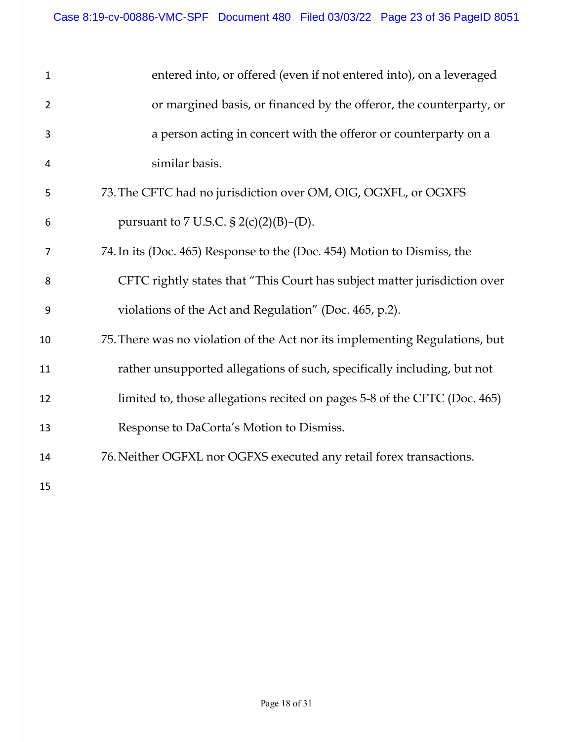| $\mathbf{1}$   | entered into, or offered (even if not entered into), on a leveraged         |
|----------------|-----------------------------------------------------------------------------|
| $\overline{2}$ | or margined basis, or financed by the offeror, the counterparty, or         |
| 3              | a person acting in concert with the offeror or counterparty on a            |
| 4              | similar basis.                                                              |
| 5              | 73. The CFTC had no jurisdiction over OM, OIG, OGXFL, or OGXFS              |
| 6              | pursuant to 7 U.S.C. § 2(c)(2)(B)–(D).                                      |
| 7              | 74. In its (Doc. 465) Response to the (Doc. 454) Motion to Dismiss, the     |
| 8              | CFTC rightly states that "This Court has subject matter jurisdiction over   |
| 9              | violations of the Act and Regulation" (Doc. 465, p.2).                      |
| 10             | 75. There was no violation of the Act nor its implementing Regulations, but |
| 11             | rather unsupported allegations of such, specifically including, but not     |
| 12             | limited to, those allegations recited on pages 5-8 of the CFTC (Doc. 465)   |
| 13             | Response to DaCorta's Motion to Dismiss.                                    |
| 14             | 76. Neither OGFXL nor OGFXS executed any retail forex transactions.         |
| 15             |                                                                             |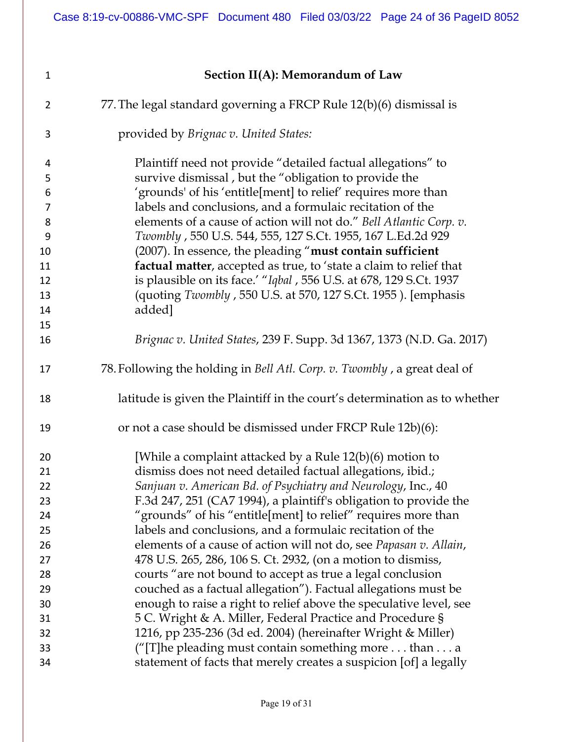| $\mathbf{1}$   | Section II(A): Memorandum of Law                                           |
|----------------|----------------------------------------------------------------------------|
| $\overline{2}$ | 77. The legal standard governing a FRCP Rule 12(b)(6) dismissal is         |
| 3              | provided by Brignac v. United States:                                      |
| 4              | Plaintiff need not provide "detailed factual allegations" to               |
| 5              | survive dismissal, but the "obligation to provide the                      |
| 6              | 'grounds' of his 'entitle[ment] to relief' requires more than              |
| $\overline{7}$ | labels and conclusions, and a formulaic recitation of the                  |
| 8              | elements of a cause of action will not do." Bell Atlantic Corp. v.         |
| 9              | Twombly, 550 U.S. 544, 555, 127 S.Ct. 1955, 167 L.Ed.2d 929                |
| 10             | (2007). In essence, the pleading "must contain sufficient                  |
| 11             | factual matter, accepted as true, to 'state a claim to relief that         |
| 12             | is plausible on its face.' "Iqbal, 556 U.S. at 678, 129 S.Ct. 1937         |
| 13             | (quoting Twombly, 550 U.S. at 570, 127 S.Ct. 1955). [emphasis              |
| 14             | added]                                                                     |
| 15             |                                                                            |
| 16             | Brignac v. United States, 239 F. Supp. 3d 1367, 1373 (N.D. Ga. 2017)       |
| 17             | 78. Following the holding in Bell Atl. Corp. v. Twombly, a great deal of   |
| 18             | latitude is given the Plaintiff in the court's determination as to whether |
| 19             | or not a case should be dismissed under FRCP Rule 12b)(6):                 |
| 20             | [While a complaint attacked by a Rule $12(b)(6)$ motion to                 |
| 21             | dismiss does not need detailed factual allegations, ibid.;                 |
| 22             | Sanjuan v. American Bd. of Psychiatry and Neurology, Inc., 40              |
| 23             | F.3d 247, 251 (CA7 1994), a plaintiff's obligation to provide the          |
| 24             | "grounds" of his "entitle[ment] to relief" requires more than              |
| 25             | labels and conclusions, and a formulaic recitation of the                  |
| 26             | elements of a cause of action will not do, see Papasan v. Allain,          |
| 27             | 478 U.S. 265, 286, 106 S. Ct. 2932, (on a motion to dismiss,               |
| 28             | courts "are not bound to accept as true a legal conclusion                 |
| 29             | couched as a factual allegation"). Factual allegations must be             |
| 30             | enough to raise a right to relief above the speculative level, see         |
| 31             | 5 C. Wright & A. Miller, Federal Practice and Procedure §                  |
| 32             | 1216, pp 235-236 (3d ed. 2004) (hereinafter Wright & Miller)               |
| 33             | ("[T]he pleading must contain something more than a                        |
| 34             | statement of facts that merely creates a suspicion [of] a legally          |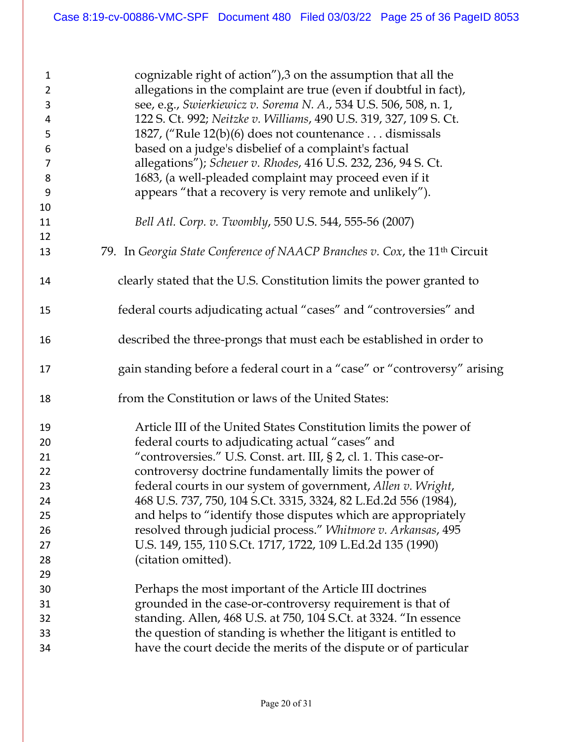| $\mathbf{1}$<br>$\overline{2}$<br>3<br>4<br>5<br>6<br>7<br>8<br>$9\,$<br>10 | cognizable right of action"),3 on the assumption that all the<br>allegations in the complaint are true (even if doubtful in fact),<br>see, e.g., Swierkiewicz v. Sorema N. A., 534 U.S. 506, 508, n. 1,<br>122 S. Ct. 992; Neitzke v. Williams, 490 U.S. 319, 327, 109 S. Ct.<br>1827, ("Rule 12(b)(6) does not countenance dismissals<br>based on a judge's disbelief of a complaint's factual<br>allegations"); Scheuer v. Rhodes, 416 U.S. 232, 236, 94 S. Ct.<br>1683, (a well-pleaded complaint may proceed even if it<br>appears "that a recovery is very remote and unlikely"). |
|-----------------------------------------------------------------------------|----------------------------------------------------------------------------------------------------------------------------------------------------------------------------------------------------------------------------------------------------------------------------------------------------------------------------------------------------------------------------------------------------------------------------------------------------------------------------------------------------------------------------------------------------------------------------------------|
| 11                                                                          | Bell Atl. Corp. v. Twombly, 550 U.S. 544, 555-56 (2007)                                                                                                                                                                                                                                                                                                                                                                                                                                                                                                                                |
| 12                                                                          |                                                                                                                                                                                                                                                                                                                                                                                                                                                                                                                                                                                        |
| 13                                                                          | 79. In Georgia State Conference of NAACP Branches v. Cox, the 11 <sup>th</sup> Circuit                                                                                                                                                                                                                                                                                                                                                                                                                                                                                                 |
| 14                                                                          | clearly stated that the U.S. Constitution limits the power granted to                                                                                                                                                                                                                                                                                                                                                                                                                                                                                                                  |
| 15                                                                          | federal courts adjudicating actual "cases" and "controversies" and                                                                                                                                                                                                                                                                                                                                                                                                                                                                                                                     |
| 16                                                                          | described the three-prongs that must each be established in order to                                                                                                                                                                                                                                                                                                                                                                                                                                                                                                                   |
| 17                                                                          | gain standing before a federal court in a "case" or "controversy" arising                                                                                                                                                                                                                                                                                                                                                                                                                                                                                                              |
| 18                                                                          | from the Constitution or laws of the United States:                                                                                                                                                                                                                                                                                                                                                                                                                                                                                                                                    |
| 19                                                                          | Article III of the United States Constitution limits the power of                                                                                                                                                                                                                                                                                                                                                                                                                                                                                                                      |
| 20                                                                          | federal courts to adjudicating actual "cases" and                                                                                                                                                                                                                                                                                                                                                                                                                                                                                                                                      |
| 21                                                                          | "controversies." U.S. Const. art. III, § 2, cl. 1. This case-or-                                                                                                                                                                                                                                                                                                                                                                                                                                                                                                                       |
| 22                                                                          | controversy doctrine fundamentally limits the power of                                                                                                                                                                                                                                                                                                                                                                                                                                                                                                                                 |
| 23                                                                          | federal courts in our system of government, Allen v. Wright,                                                                                                                                                                                                                                                                                                                                                                                                                                                                                                                           |
| 24                                                                          | 468 U.S. 737, 750, 104 S.Ct. 3315, 3324, 82 L.Ed.2d 556 (1984),                                                                                                                                                                                                                                                                                                                                                                                                                                                                                                                        |
| 25                                                                          | and helps to "identify those disputes which are appropriately                                                                                                                                                                                                                                                                                                                                                                                                                                                                                                                          |
| 26                                                                          | resolved through judicial process." Whitmore v. Arkansas, 495                                                                                                                                                                                                                                                                                                                                                                                                                                                                                                                          |
| 27                                                                          | U.S. 149, 155, 110 S.Ct. 1717, 1722, 109 L.Ed.2d 135 (1990)                                                                                                                                                                                                                                                                                                                                                                                                                                                                                                                            |
| 28                                                                          | (citation omitted).                                                                                                                                                                                                                                                                                                                                                                                                                                                                                                                                                                    |
| 29                                                                          |                                                                                                                                                                                                                                                                                                                                                                                                                                                                                                                                                                                        |
| 30                                                                          | Perhaps the most important of the Article III doctrines                                                                                                                                                                                                                                                                                                                                                                                                                                                                                                                                |
| 31                                                                          | grounded in the case-or-controversy requirement is that of                                                                                                                                                                                                                                                                                                                                                                                                                                                                                                                             |
| 32                                                                          | standing. Allen, 468 U.S. at 750, 104 S.Ct. at 3324. "In essence                                                                                                                                                                                                                                                                                                                                                                                                                                                                                                                       |
| 33                                                                          | the question of standing is whether the litigant is entitled to                                                                                                                                                                                                                                                                                                                                                                                                                                                                                                                        |
| 34                                                                          | have the court decide the merits of the dispute or of particular                                                                                                                                                                                                                                                                                                                                                                                                                                                                                                                       |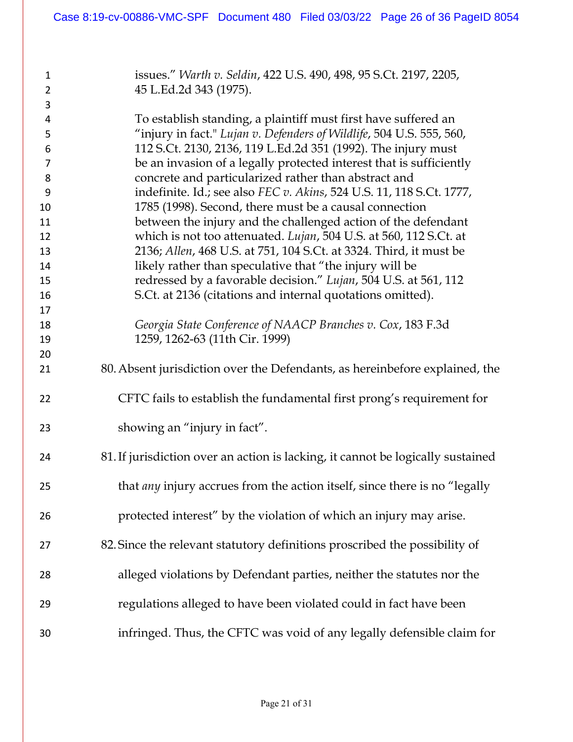| 1<br>$\overline{2}$ | issues." Warth v. Seldin, 422 U.S. 490, 498, 95 S.Ct. 2197, 2205,                 |
|---------------------|-----------------------------------------------------------------------------------|
| 3                   | 45 L.Ed.2d 343 (1975).                                                            |
| 4                   | To establish standing, a plaintiff must first have suffered an                    |
| 5                   | "injury in fact." Lujan v. Defenders of Wildlife, 504 U.S. 555, 560,              |
| 6                   | 112 S.Ct. 2130, 2136, 119 L.Ed.2d 351 (1992). The injury must                     |
| $\overline{7}$      | be an invasion of a legally protected interest that is sufficiently               |
| 8                   | concrete and particularized rather than abstract and                              |
| 9                   | indefinite. Id.; see also FEC v. Akins, 524 U.S. 11, 118 S.Ct. 1777,              |
| 10                  | 1785 (1998). Second, there must be a causal connection                            |
| 11                  | between the injury and the challenged action of the defendant                     |
| 12                  | which is not too attenuated. Lujan, 504 U.S. at 560, 112 S.Ct. at                 |
| 13                  | 2136; Allen, 468 U.S. at 751, 104 S.Ct. at 3324. Third, it must be                |
| 14                  | likely rather than speculative that "the injury will be                           |
| 15                  | redressed by a favorable decision." Lujan, 504 U.S. at 561, 112                   |
| 16                  | S.Ct. at 2136 (citations and internal quotations omitted).                        |
| 17                  |                                                                                   |
| 18                  | Georgia State Conference of NAACP Branches v. Cox, 183 F.3d                       |
| 19                  | 1259, 1262-63 (11th Cir. 1999)                                                    |
| 20                  |                                                                                   |
| 21                  | 80. Absent jurisdiction over the Defendants, as hereinbefore explained, the       |
| 22                  | CFTC fails to establish the fundamental first prong's requirement for             |
| 23                  | showing an "injury in fact".                                                      |
| 24                  | 81. If jurisdiction over an action is lacking, it cannot be logically sustained   |
| 25                  | that <i>any</i> injury accrues from the action itself, since there is no "legally |
| 26                  | protected interest" by the violation of which an injury may arise.                |
| 27                  | 82. Since the relevant statutory definitions proscribed the possibility of        |
| 28                  | alleged violations by Defendant parties, neither the statutes nor the             |
| 29                  | regulations alleged to have been violated could in fact have been                 |
| 30                  | infringed. Thus, the CFTC was void of any legally defensible claim for            |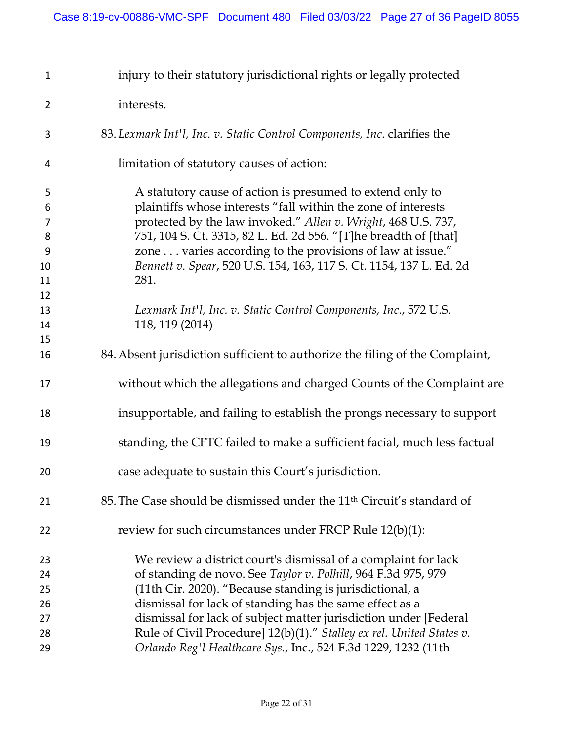| $\mathbf{1}$   | injury to their statutory jurisdictional rights or legally protected                                                              |
|----------------|-----------------------------------------------------------------------------------------------------------------------------------|
| $\overline{2}$ | interests.                                                                                                                        |
| 3              | 83. Lexmark Int'l, Inc. v. Static Control Components, Inc. clarifies the                                                          |
| 4              | limitation of statutory causes of action:                                                                                         |
| 5<br>6         | A statutory cause of action is presumed to extend only to<br>plaintiffs whose interests "fall within the zone of interests        |
| 7<br>8         | protected by the law invoked." Allen v. Wright, 468 U.S. 737,<br>751, 104 S. Ct. 3315, 82 L. Ed. 2d 556. "[T]he breadth of [that] |
| 9              | zone varies according to the provisions of law at issue."                                                                         |
| 10             | Bennett v. Spear, 520 U.S. 154, 163, 117 S. Ct. 1154, 137 L. Ed. 2d                                                               |
| 11             | 281.                                                                                                                              |
| 12             |                                                                                                                                   |
| 13             | Lexmark Int'l, Inc. v. Static Control Components, Inc., 572 U.S.                                                                  |
| 14             | 118, 119 (2014)                                                                                                                   |
| 15             |                                                                                                                                   |
| 16             | 84. Absent jurisdiction sufficient to authorize the filing of the Complaint,                                                      |
| 17             | without which the allegations and charged Counts of the Complaint are                                                             |
| 18             | insupportable, and failing to establish the prongs necessary to support                                                           |
| 19             | standing, the CFTC failed to make a sufficient facial, much less factual                                                          |
| 20             | case adequate to sustain this Court's jurisdiction.                                                                               |
| 21             | 85. The Case should be dismissed under the 11 <sup>th</sup> Circuit's standard of                                                 |
| 22             | review for such circumstances under FRCP Rule $12(b)(1)$ :                                                                        |
| 23             | We review a district court's dismissal of a complaint for lack                                                                    |
| 24             | of standing de novo. See Taylor v. Polhill, 964 F.3d 975, 979                                                                     |
| 25             | (11th Cir. 2020). "Because standing is jurisdictional, a                                                                          |
| 26             | dismissal for lack of standing has the same effect as a                                                                           |
| 27             | dismissal for lack of subject matter jurisdiction under [Federal                                                                  |
| 28             | Rule of Civil Procedure] $12(b)(1)$ ." Stalley ex rel. United States v.                                                           |
| 29             | Orlando Reg'l Healthcare Sys., Inc., 524 F.3d 1229, 1232 (11th                                                                    |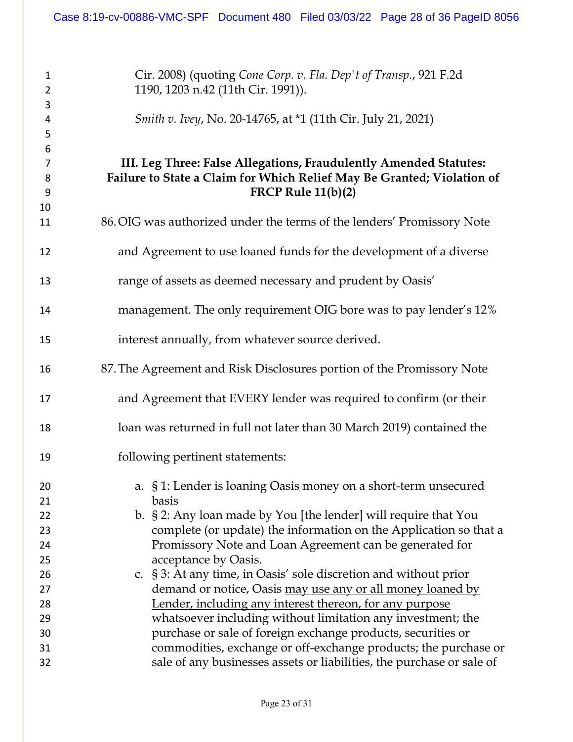Cir. 2008) (quoting *Cone Corp. v. Fla. Dep't of Transp*., 921 F.2d 1190, 1203 n.42 (11th Cir. 1991)). *Smith v. Ivey*, No. 20-14765, at \*1 (11th Cir. July 21, 2021) **III. Leg Three: False Allegations, Fraudulently Amended Statutes: Failure to State a Claim for Which Relief May Be Granted; Violation of FRCP Rule 11(b)(2)** 86.OIG was authorized under the terms of the lenders' Promissory Note and Agreement to use loaned funds for the development of a diverse range of assets as deemed necessary and prudent by Oasis' management. The only requirement OIG bore was to pay lender's 12% interest annually, from whatever source derived. 87.The Agreement and Risk Disclosures portion of the Promissory Note and Agreement that EVERY lender was required to confirm (or their loan was returned in full not later than 30 March 2019) contained the following pertinent statements: a. § 1: Lender is loaning Oasis money on a short-term unsecured basis b. § 2: Any loan made by You [the lender] will require that You complete (or update) the information on the Application so that a Promissory Note and Loan Agreement can be generated for acceptance by Oasis. c. § 3: At any time, in Oasis' sole discretion and without prior demand or notice, Oasis may use any or all money loaned by Lender, including any interest thereon, for any purpose whatsoever including without limitation any investment; the purchase or sale of foreign exchange products, securities or commodities, exchange or off-exchange products; the purchase or sale of any businesses assets or liabilities, the purchase or sale of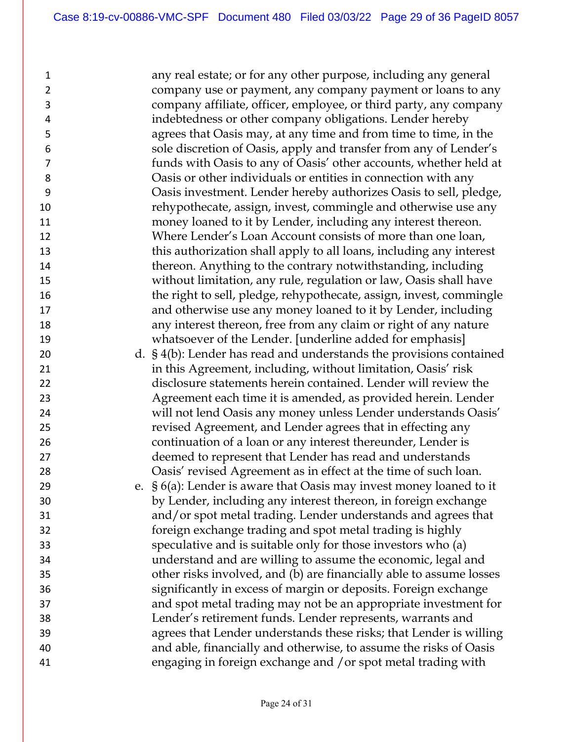any real estate; or for any other purpose, including any general company use or payment, any company payment or loans to any company affiliate, officer, employee, or third party, any company indebtedness or other company obligations. Lender hereby agrees that Oasis may, at any time and from time to time, in the sole discretion of Oasis, apply and transfer from any of Lender's funds with Oasis to any of Oasis' other accounts, whether held at Oasis or other individuals or entities in connection with any Oasis investment. Lender hereby authorizes Oasis to sell, pledge, rehypothecate, assign, invest, commingle and otherwise use any money loaned to it by Lender, including any interest thereon. Where Lender's Loan Account consists of more than one loan, this authorization shall apply to all loans, including any interest thereon. Anything to the contrary notwithstanding, including without limitation, any rule, regulation or law, Oasis shall have the right to sell, pledge, rehypothecate, assign, invest, commingle and otherwise use any money loaned to it by Lender, including any interest thereon, free from any claim or right of any nature whatsoever of the Lender. [underline added for emphasis] d. § 4(b): Lender has read and understands the provisions contained in this Agreement, including, without limitation, Oasis' risk disclosure statements herein contained. Lender will review the Agreement each time it is amended, as provided herein. Lender will not lend Oasis any money unless Lender understands Oasis' revised Agreement, and Lender agrees that in effecting any continuation of a loan or any interest thereunder, Lender is deemed to represent that Lender has read and understands Oasis' revised Agreement as in effect at the time of such loan. e. § 6(a): Lender is aware that Oasis may invest money loaned to it by Lender, including any interest thereon, in foreign exchange and/or spot metal trading. Lender understands and agrees that foreign exchange trading and spot metal trading is highly speculative and is suitable only for those investors who (a) understand and are willing to assume the economic, legal and other risks involved, and (b) are financially able to assume losses significantly in excess of margin or deposits. Foreign exchange and spot metal trading may not be an appropriate investment for Lender's retirement funds. Lender represents, warrants and agrees that Lender understands these risks; that Lender is willing and able, financially and otherwise, to assume the risks of Oasis engaging in foreign exchange and /or spot metal trading with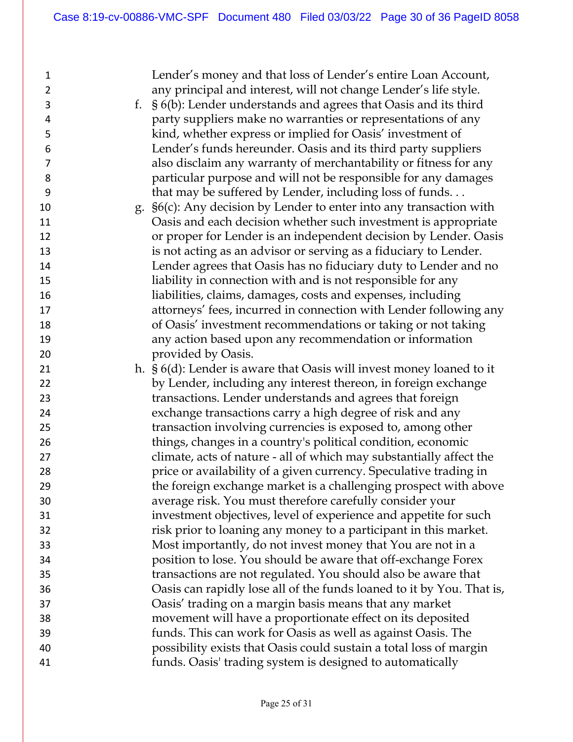Lender's money and that loss of Lender's entire Loan Account, any principal and interest, will not change Lender's life style. f. § 6(b): Lender understands and agrees that Oasis and its third party suppliers make no warranties or representations of any kind, whether express or implied for Oasis' investment of Lender's funds hereunder. Oasis and its third party suppliers also disclaim any warranty of merchantability or fitness for any particular purpose and will not be responsible for any damages that may be suffered by Lender, including loss of funds. . .  $\qquad \qquad$  g.  $\S6(c)$ : Any decision by Lender to enter into any transaction with Oasis and each decision whether such investment is appropriate or proper for Lender is an independent decision by Lender. Oasis is not acting as an advisor or serving as a fiduciary to Lender. Lender agrees that Oasis has no fiduciary duty to Lender and no liability in connection with and is not responsible for any liabilities, claims, damages, costs and expenses, including attorneys' fees, incurred in connection with Lender following any of Oasis' investment recommendations or taking or not taking any action based upon any recommendation or information provided by Oasis. h. § 6(d): Lender is aware that Oasis will invest money loaned to it by Lender, including any interest thereon, in foreign exchange transactions. Lender understands and agrees that foreign exchange transactions carry a high degree of risk and any transaction involving currencies is exposed to, among other things, changes in a country's political condition, economic climate, acts of nature - all of which may substantially affect the **price or availability of a given currency.** Speculative trading in the foreign exchange market is a challenging prospect with above average risk. You must therefore carefully consider your investment objectives, level of experience and appetite for such risk prior to loaning any money to a participant in this market. Most importantly, do not invest money that You are not in a position to lose. You should be aware that off-exchange Forex transactions are not regulated. You should also be aware that Oasis can rapidly lose all of the funds loaned to it by You. That is, Oasis' trading on a margin basis means that any market movement will have a proportionate effect on its deposited funds. This can work for Oasis as well as against Oasis. The possibility exists that Oasis could sustain a total loss of margin funds. Oasis' trading system is designed to automatically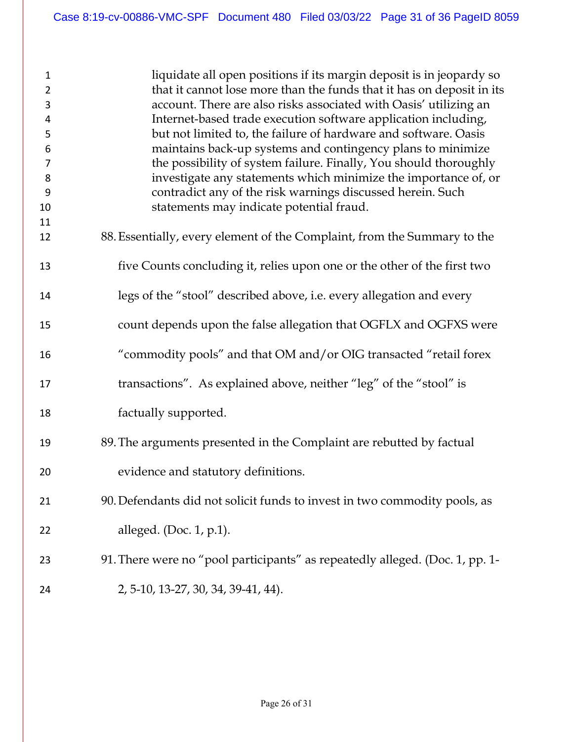| $\mathbf{1}$<br>$\overline{2}$<br>3 | liquidate all open positions if its margin deposit is in jeopardy so<br>that it cannot lose more than the funds that it has on deposit in its<br>account. There are also risks associated with Oasis' utilizing an |
|-------------------------------------|--------------------------------------------------------------------------------------------------------------------------------------------------------------------------------------------------------------------|
| 4                                   | Internet-based trade execution software application including,                                                                                                                                                     |
| 5                                   | but not limited to, the failure of hardware and software. Oasis                                                                                                                                                    |
| 6                                   | maintains back-up systems and contingency plans to minimize                                                                                                                                                        |
| 7                                   | the possibility of system failure. Finally, You should thoroughly                                                                                                                                                  |
| 8                                   | investigate any statements which minimize the importance of, or                                                                                                                                                    |
| 9                                   | contradict any of the risk warnings discussed herein. Such                                                                                                                                                         |
| 10                                  | statements may indicate potential fraud.                                                                                                                                                                           |
| 11                                  |                                                                                                                                                                                                                    |
| 12                                  | 88. Essentially, every element of the Complaint, from the Summary to the                                                                                                                                           |
| 13                                  | five Counts concluding it, relies upon one or the other of the first two                                                                                                                                           |
| 14                                  | legs of the "stool" described above, i.e. every allegation and every                                                                                                                                               |
| 15                                  | count depends upon the false allegation that OGFLX and OGFXS were                                                                                                                                                  |
| 16                                  | "commodity pools" and that OM and/or OIG transacted "retail forex                                                                                                                                                  |
| 17                                  | transactions". As explained above, neither "leg" of the "stool" is                                                                                                                                                 |
| 18                                  | factually supported.                                                                                                                                                                                               |
| 19                                  | 89. The arguments presented in the Complaint are rebutted by factual                                                                                                                                               |
| 20                                  | evidence and statutory definitions.                                                                                                                                                                                |
| 21                                  | 90. Defendants did not solicit funds to invest in two commodity pools, as                                                                                                                                          |
| 22                                  | alleged. (Doc. $1$ , p. $1$ ).                                                                                                                                                                                     |
| 23                                  | 91. There were no "pool participants" as repeatedly alleged. (Doc. 1, pp. 1-                                                                                                                                       |
| 24                                  | 2, 5-10, 13-27, 30, 34, 39-41, 44).                                                                                                                                                                                |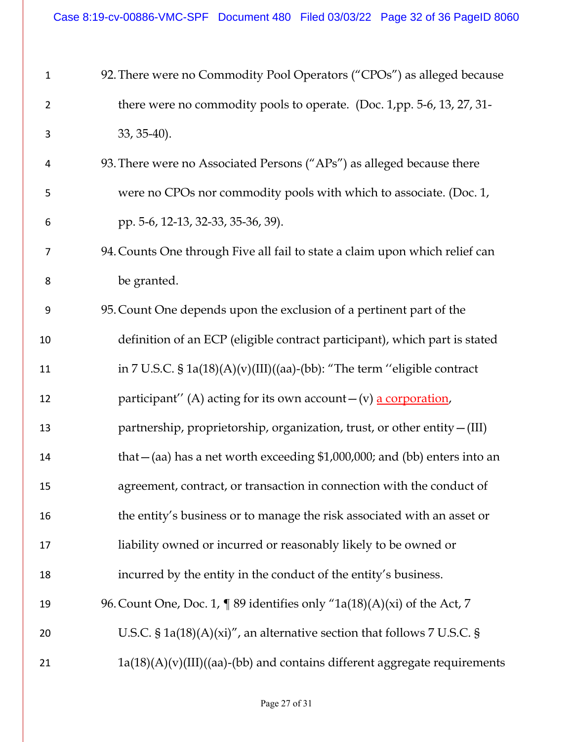| $\mathbf{1}$   | 92. There were no Commodity Pool Operators ("CPOs") as alleged because      |
|----------------|-----------------------------------------------------------------------------|
| $\overline{2}$ | there were no commodity pools to operate. (Doc. 1,pp. 5-6, 13, 27, 31-      |
| 3              | 33, 35-40).                                                                 |
| 4              | 93. There were no Associated Persons ("APs") as alleged because there       |
| 5              | were no CPOs nor commodity pools with which to associate. (Doc. 1,          |
| 6              | pp. 5-6, 12-13, 32-33, 35-36, 39).                                          |
| 7              | 94. Counts One through Five all fail to state a claim upon which relief can |
| 8              | be granted.                                                                 |
| 9              | 95. Count One depends upon the exclusion of a pertinent part of the         |
| 10             | definition of an ECP (eligible contract participant), which part is stated  |
| 11             | in 7 U.S.C. § 1a(18)(A)(v)(III)((aa)-(bb): "The term "eligible contract     |
| 12             | participant" (A) acting for its own account - (v) a corporation,            |
| 13             | partnership, proprietorship, organization, trust, or other entity - (III)   |
| 14             | that $-(aa)$ has a net worth exceeding \$1,000,000; and (bb) enters into an |
| 15             | agreement, contract, or transaction in connection with the conduct of       |
| 16             | the entity's business or to manage the risk associated with an asset or     |
| 17             | liability owned or incurred or reasonably likely to be owned or             |
| 18             | incurred by the entity in the conduct of the entity's business.             |
| 19             | 96. Count One, Doc. 1, $\P$ 89 identifies only "1a(18)(A)(xi) of the Act, 7 |
| 20             | U.S.C. § $1a(18)(A)(xi)'$ , an alternative section that follows 7 U.S.C. §  |
| 21             | $1a(18)(A)(v)(III)((aa)-(bb)$ and contains different aggregate requirements |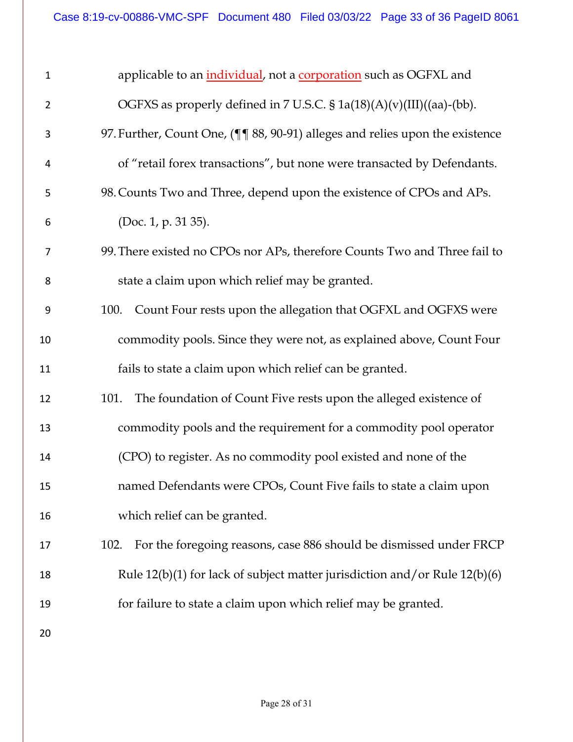| $\mathbf 1$    | applicable to an <i>individual</i> , not a <b>corporation</b> such as OGFXL and |
|----------------|---------------------------------------------------------------------------------|
| $\overline{2}$ | OGFXS as properly defined in 7 U.S.C. § 1a(18)(A)(v)(III)((aa)-(bb).            |
| 3              | 97. Further, Count One, (¶¶ 88, 90-91) alleges and relies upon the existence    |
| 4              | of "retail forex transactions", but none were transacted by Defendants.         |
| 5              | 98. Counts Two and Three, depend upon the existence of CPOs and APs.            |
| 6              | (Doc. 1, p. 31 35).                                                             |
| 7              | 99. There existed no CPOs nor APs, therefore Counts Two and Three fail to       |
| 8              | state a claim upon which relief may be granted.                                 |
| 9              | Count Four rests upon the allegation that OGFXL and OGFXS were<br>100.          |
| 10             | commodity pools. Since they were not, as explained above, Count Four            |
| 11             | fails to state a claim upon which relief can be granted.                        |
| 12             | The foundation of Count Five rests upon the alleged existence of<br>101.        |
| 13             | commodity pools and the requirement for a commodity pool operator               |
| 14             | (CPO) to register. As no commodity pool existed and none of the                 |
| 15             | named Defendants were CPOs, Count Five fails to state a claim upon              |
| 16             | which relief can be granted.                                                    |
| 17             | For the foregoing reasons, case 886 should be dismissed under FRCP<br>102.      |
| 18             | Rule $12(b)(1)$ for lack of subject matter jurisdiction and/or Rule $12(b)(6)$  |
| 19             | for failure to state a claim upon which relief may be granted.                  |
| 20             |                                                                                 |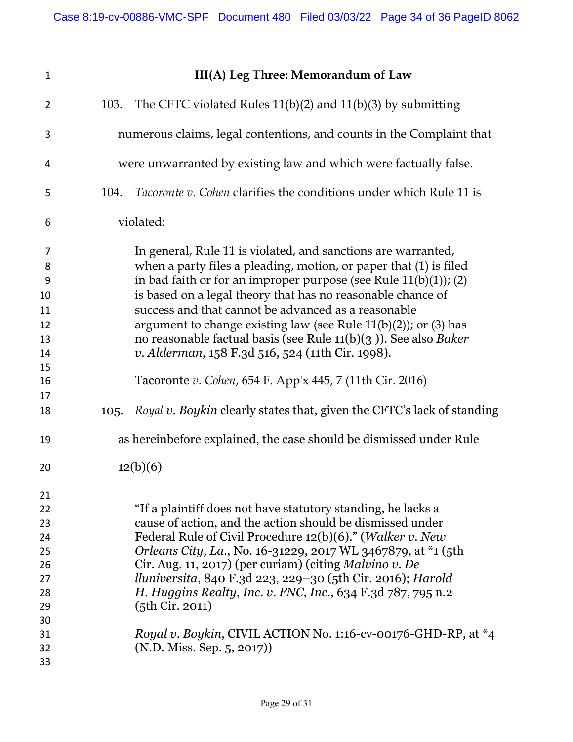violated:

# **III(A) Leg Three: Memorandum of Law**

| $\overline{2}$                                                 | 103. | The CFTC violated Rules $11(b)(2)$ and $11(b)(3)$ by submitting                                                                                                                                                                                                                                                                                                                                                                                                                                                                                                                             |  |
|----------------------------------------------------------------|------|---------------------------------------------------------------------------------------------------------------------------------------------------------------------------------------------------------------------------------------------------------------------------------------------------------------------------------------------------------------------------------------------------------------------------------------------------------------------------------------------------------------------------------------------------------------------------------------------|--|
| 3                                                              |      | numerous claims, legal contentions, and counts in the Complaint that                                                                                                                                                                                                                                                                                                                                                                                                                                                                                                                        |  |
| 4                                                              |      | were unwarranted by existing law and which were factually false.                                                                                                                                                                                                                                                                                                                                                                                                                                                                                                                            |  |
| 5                                                              | 104. | <i>Tacoronte v. Cohen clarifies the conditions under which Rule 11 is</i>                                                                                                                                                                                                                                                                                                                                                                                                                                                                                                                   |  |
| 6                                                              |      | violated:                                                                                                                                                                                                                                                                                                                                                                                                                                                                                                                                                                                   |  |
| 7<br>8<br>9<br>10<br>11<br>12<br>13<br>14<br>15<br>16<br>17    |      | In general, Rule 11 is violated, and sanctions are warranted,<br>when a party files a pleading, motion, or paper that (1) is filed<br>in bad faith or for an improper purpose (see Rule $11(b)(1)$ ); (2)<br>is based on a legal theory that has no reasonable chance of<br>success and that cannot be advanced as a reasonable<br>argument to change existing law (see Rule $11(b)(2)$ ); or (3) has<br>no reasonable factual basis (see Rule $11(b)(3)$ ). See also Baker<br>v. Alderman, 158 F.3d 516, 524 (11th Cir. 1998).<br>Tacoronte v. Cohen, 654 F. App'x 445, 7 (11th Cir. 2016) |  |
| 18                                                             | 105. | Royal v. Boykin clearly states that, given the CFTC's lack of standing                                                                                                                                                                                                                                                                                                                                                                                                                                                                                                                      |  |
| 19                                                             |      | as hereinbefore explained, the case should be dismissed under Rule                                                                                                                                                                                                                                                                                                                                                                                                                                                                                                                          |  |
| 20                                                             |      | 12(b)(6)                                                                                                                                                                                                                                                                                                                                                                                                                                                                                                                                                                                    |  |
| 21<br>22<br>23<br>24<br>25<br>26<br>27<br>28<br>29<br>30<br>31 |      | "If a plaintiff does not have statutory standing, he lacks a<br>cause of action, and the action should be dismissed under<br>Federal Rule of Civil Procedure 12(b)(6)." (Walker v. New<br>Orleans City, La., No. 16-31229, 2017 WL 3467879, at *1 (5th<br>Cir. Aug. 11, 2017) (per curiam) (citing Malvino v. De<br>lluniversita, 840 F.3d 223, 229-30 (5th Cir. 2016); Harold<br>H. Huggins Realty, Inc. v. FNC, Inc., 634 F.3d 787, 795 n.2<br>(5th Cir. 2011)<br>Royal v. Boykin, CIVIL ACTION No. 1:16-cv-00176-GHD-RP, at *4                                                           |  |
| 32<br>33                                                       |      | (N.D. Miss. Sep. 5, 2017))                                                                                                                                                                                                                                                                                                                                                                                                                                                                                                                                                                  |  |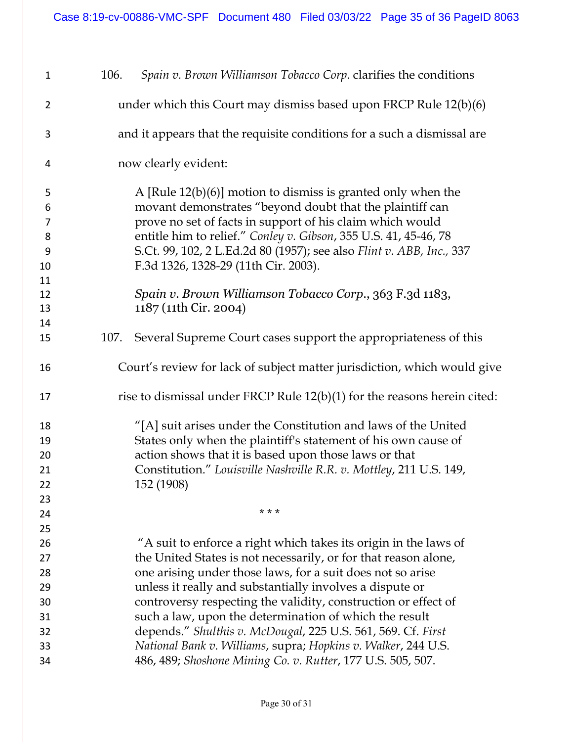| $\mathbf{1}$   | Spain v. Brown Williamson Tobacco Corp. clarifies the conditions<br>106.   |
|----------------|----------------------------------------------------------------------------|
| $\overline{2}$ | under which this Court may dismiss based upon FRCP Rule $12(b)(6)$         |
| 3              | and it appears that the requisite conditions for a such a dismissal are    |
| 4              | now clearly evident:                                                       |
| 5              | A [Rule $12(b)(6)$ ] motion to dismiss is granted only when the            |
| 6              | movant demonstrates "beyond doubt that the plaintiff can                   |
| $\overline{7}$ | prove no set of facts in support of his claim which would                  |
| 8              | entitle him to relief." Conley v. Gibson, 355 U.S. 41, 45-46, 78           |
| 9              | S.Ct. 99, 102, 2 L.Ed.2d 80 (1957); see also Flint v. ABB, Inc., 337       |
| 10             | F.3d 1326, 1328-29 (11th Cir. 2003).                                       |
| 11             |                                                                            |
| 12             | Spain v. Brown Williamson Tobacco Corp., 363 F.3d 1183,                    |
| 13             | 1187 (11th Cir. 2004)                                                      |
| 14             |                                                                            |
| 15             | Several Supreme Court cases support the appropriateness of this<br>107.    |
| 16             | Court's review for lack of subject matter jurisdiction, which would give   |
| 17             | rise to dismissal under FRCP Rule $12(b)(1)$ for the reasons herein cited: |
| 18             | "[A] suit arises under the Constitution and laws of the United             |
| 19             | States only when the plaintiff's statement of his own cause of             |
| 20             | action shows that it is based upon those laws or that                      |
| 21             | Constitution." Louisville Nashville R.R. v. Mottley, 211 U.S. 149,         |
| 22             | 152 (1908)                                                                 |
| 23             |                                                                            |
| 24             | * * *                                                                      |
| 25             |                                                                            |
| 26             | "A suit to enforce a right which takes its origin in the laws of           |
| 27             | the United States is not necessarily, or for that reason alone,            |
| 28             | one arising under those laws, for a suit does not so arise                 |
| 29             | unless it really and substantially involves a dispute or                   |
| 30             | controversy respecting the validity, construction or effect of             |
| 31             | such a law, upon the determination of which the result                     |
| 32             | depends." Shulthis v. McDougal, 225 U.S. 561, 569. Cf. First               |
| 33             | National Bank v. Williams, supra; Hopkins v. Walker, 244 U.S.              |
| 34             | 486, 489; Shoshone Mining Co. v. Rutter, 177 U.S. 505, 507.                |
|                |                                                                            |